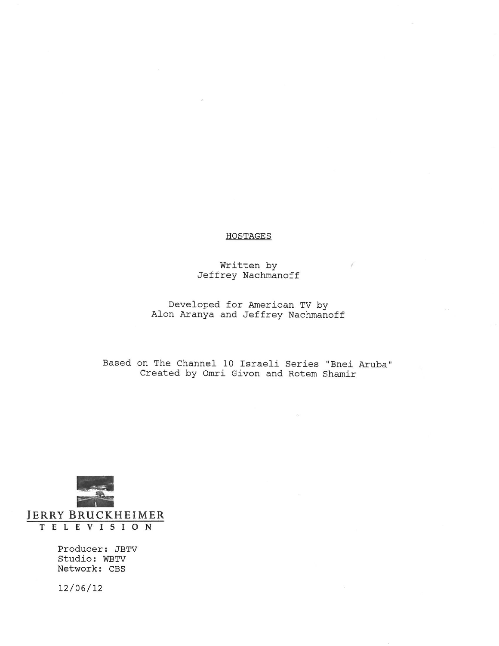## **HOSTAGES**

## Written by Jeffrey Nachmanoff

Developed for American TV by Alon Aranya and Jeffrey Nachmanoff

Based on The Channel 10 Israeli Series "Bnei Aruba" Created by Omri Givon and Rotem Shamir



Producer: JBTV Studio: WBTV Network: CBS

12/06/12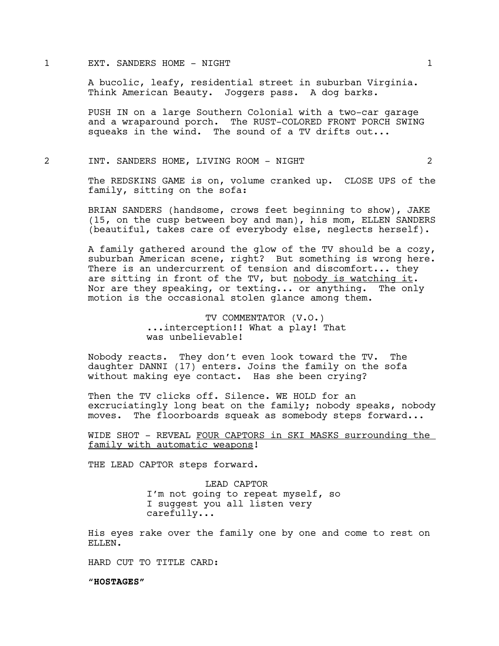## 1 EXT. SANDERS HOME - NIGHT 1

A bucolic, leafy, residential street in suburban Virginia. Think American Beauty. Joggers pass. A dog barks.

PUSH IN on a large Southern Colonial with a two-car garage and a wraparound porch. The RUST-COLORED FRONT PORCH SWING squeaks in the wind. The sound of a TV drifts out...

## 2 INT. SANDERS HOME, LIVING ROOM - NIGHT 2

The REDSKINS GAME is on, volume cranked up. CLOSE UPS of the family, sitting on the sofa:

BRIAN SANDERS (handsome, crows feet beginning to show), JAKE (15, on the cusp between boy and man), his mom, ELLEN SANDERS (beautiful, takes care of everybody else, neglects herself).

A family gathered around the glow of the TV should be a cozy, suburban American scene, right? But something is wrong here. There is an undercurrent of tension and discomfort... they are sitting in front of the TV, but nobody is watching it. Nor are they speaking, or texting... or anything. The only motion is the occasional stolen glance among them.

> TV COMMENTATOR (V.O.) ...interception!! What a play! That was unbelievable!

Nobody reacts. They don't even look toward the TV. The daughter DANNI (17) enters. Joins the family on the sofa without making eye contact. Has she been crying?

Then the TV clicks off. Silence. WE HOLD for an excruciatingly long beat on the family; nobody speaks, nobody moves. The floorboards squeak as somebody steps forward...

WIDE SHOT - REVEAL FOUR CAPTORS in SKI MASKS surrounding the family with automatic weapons!

THE LEAD CAPTOR steps forward.

LEAD CAPTOR I'm not going to repeat myself, so I suggest you all listen very carefully...

His eyes rake over the family one by one and come to rest on ELLEN.

HARD CUT TO TITLE CARD:

"**HOSTAGES"**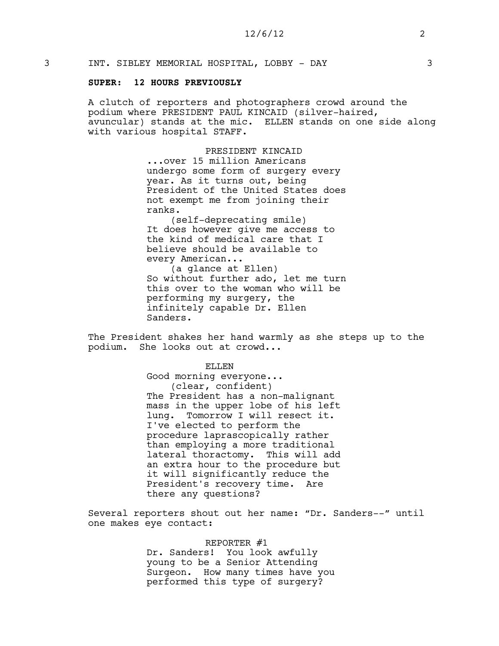3 INT. SIBLEY MEMORIAL HOSPITAL, LOBBY - DAY 3

### **SUPER: 12 HOURS PREVIOUSLY**

A clutch of reporters and photographers crowd around the podium where PRESIDENT PAUL KINCAID (silver-haired, avuncular) stands at the mic. ELLEN stands on one side along with various hospital STAFF.

> PRESIDENT KINCAID ...over 15 million Americans undergo some form of surgery every year. As it turns out, being President of the United States does not exempt me from joining their ranks. (self-deprecating smile)

It does however give me access to the kind of medical care that I believe should be available to every American...

(a glance at Ellen) So without further ado, let me turn this over to the woman who will be performing my surgery, the infinitely capable Dr. Ellen Sanders.

The President shakes her hand warmly as she steps up to the podium. She looks out at crowd...

> ELLEN Good morning everyone... (clear, confident) The President has a non-malignant mass in the upper lobe of his left lung. Tomorrow I will resect it. I've elected to perform the procedure laprascopically rather than employing a more traditional lateral thoractomy. This will add an extra hour to the procedure but it will significantly reduce the President's recovery time. Are there any questions?

Several reporters shout out her name: "Dr. Sanders--" until one makes eye contact:

> REPORTER #1 Dr. Sanders! You look awfully young to be a Senior Attending Surgeon. How many times have you performed this type of surgery?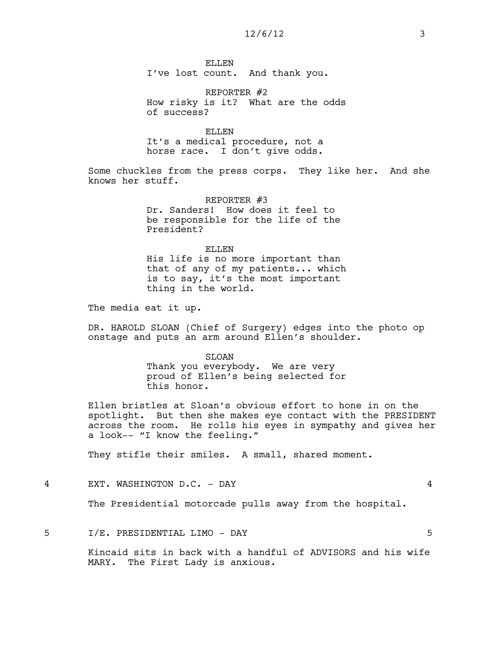ELLEN I've lost count. And thank you.

REPORTER #2 How risky is it? What are the odds of success?

ELLEN It's a medical procedure, not a horse race. I don't give odds.

Some chuckles from the press corps. They like her. And she knows her stuff.

> REPORTER #3 Dr. Sanders! How does it feel to be responsible for the life of the President?

ELLEN His life is no more important than that of any of my patients... which is to say, it's the most important thing in the world.

The media eat it up.

DR. HAROLD SLOAN (Chief of Surgery) edges into the photo op onstage and puts an arm around Ellen's shoulder.

> SLOAN Thank you everybody. We are very proud of Ellen's being selected for this honor.

Ellen bristles at Sloan's obvious effort to hone in on the spotlight. But then she makes eye contact with the PRESIDENT across the room. He rolls his eyes in sympathy and gives her a look-- "I know the feeling."

They stifle their smiles. A small, shared moment.

4 EXT. WASHINGTON D.C. - DAY 4

The Presidential motorcade pulls away from the hospital.

5 I/E. PRESIDENTIAL LIMO - DAY 5

Kincaid sits in back with a handful of ADVISORS and his wife MARY. The First Lady is anxious.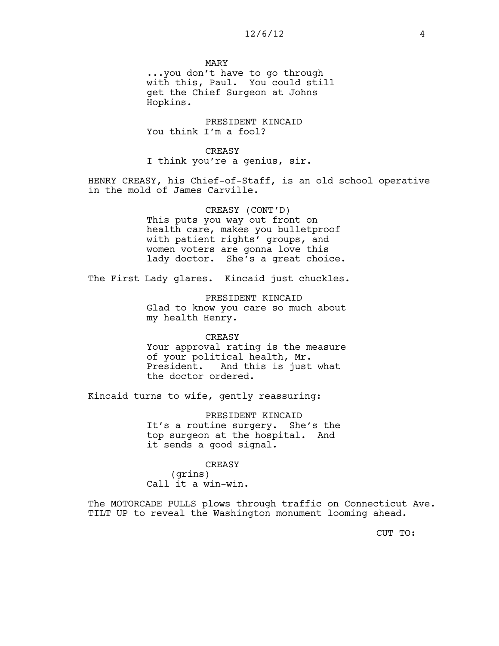MARY

...you don't have to go through with this, Paul. You could still get the Chief Surgeon at Johns Hopkins.

PRESIDENT KINCAID You think I'm a fool?

**CREASY** I think you're a genius, sir.

HENRY CREASY, his Chief-of-Staff, is an old school operative in the mold of James Carville.

> CREASY (CONT'D) This puts you way out front on health care, makes you bulletproof with patient rights' groups, and women voters are gonna love this lady doctor. She's a great choice.

The First Lady glares. Kincaid just chuckles.

PRESIDENT KINCAID Glad to know you care so much about my health Henry.

CREASY Your approval rating is the measure of your political health, Mr. President. And this is just what the doctor ordered.

Kincaid turns to wife, gently reassuring:

PRESIDENT KINCAID It's a routine surgery. She's the top surgeon at the hospital. And it sends a good signal.

CREASY (grins) Call it a win-win.

The MOTORCADE PULLS plows through traffic on Connecticut Ave. TILT UP to reveal the Washington monument looming ahead.

CUT TO: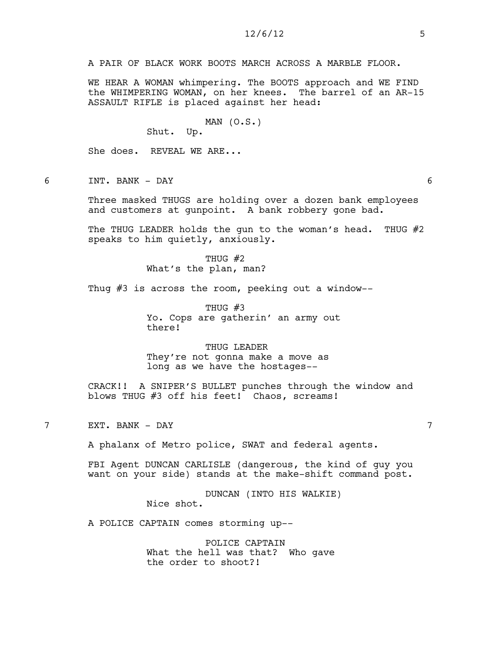A PAIR OF BLACK WORK BOOTS MARCH ACROSS A MARBLE FLOOR.

WE HEAR A WOMAN whimpering. The BOOTS approach and WE FIND the WHIMPERING WOMAN, on her knees. The barrel of an AR-15 ASSAULT RIFLE is placed against her head:

## $MAN (0.S.)$

Shut. Up.

She does. REVEAL WE ARE...

6 INT. BANK - DAY 6

Three masked THUGS are holding over a dozen bank employees and customers at gunpoint. A bank robbery gone bad.

The THUG LEADER holds the qun to the woman's head. THUG  $#2$ speaks to him quietly, anxiously.

> THUG #2 What's the plan, man?

Thug #3 is across the room, peeking out a window--

THUG #3 Yo. Cops are gatherin' an army out there!

THUG LEADER They're not gonna make a move as long as we have the hostages--

CRACK!! A SNIPER'S BULLET punches through the window and blows THUG #3 off his feet! Chaos, screams!

7 EXT. BANK - DAY 7

A phalanx of Metro police, SWAT and federal agents.

FBI Agent DUNCAN CARLISLE (dangerous, the kind of guy you want on your side) stands at the make-shift command post.

> DUNCAN (INTO HIS WALKIE) Nice shot.

A POLICE CAPTAIN comes storming up--

POLICE CAPTAIN What the hell was that? Who gave the order to shoot?!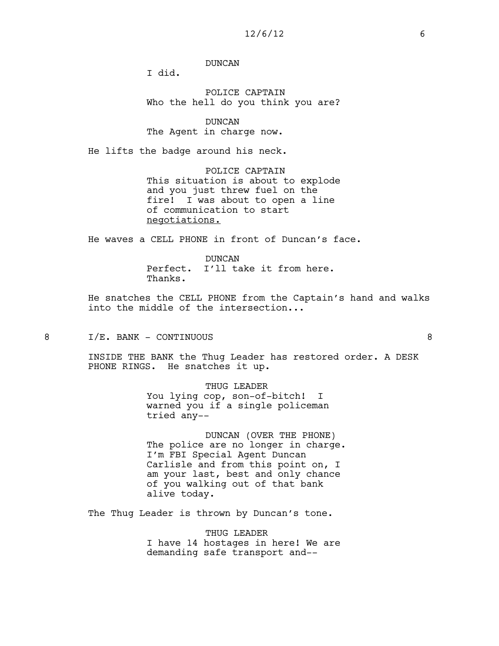DUNCAN

I did.

POLICE CAPTAIN Who the hell do you think you are?

DUNCAN The Agent in charge now.

He lifts the badge around his neck.

POLICE CAPTAIN This situation is about to explode and you just threw fuel on the fire! I was about to open a line of communication to start negotiations.

He waves a CELL PHONE in front of Duncan's face.

DUNCAN Perfect. I'll take it from here. Thanks.

He snatches the CELL PHONE from the Captain's hand and walks into the middle of the intersection...

8 I/E. BANK - CONTINUOUS 8

INSIDE THE BANK the Thug Leader has restored order. A DESK PHONE RINGS. He snatches it up.

> THUG LEADER You lying cop, son-of-bitch! I warned you if a single policeman tried any--

DUNCAN (OVER THE PHONE) The police are no longer in charge. I'm FBI Special Agent Duncan Carlisle and from this point on, I am your last, best and only chance of you walking out of that bank alive today.

The Thug Leader is thrown by Duncan's tone.

THUG LEADER I have 14 hostages in here! We are demanding safe transport and--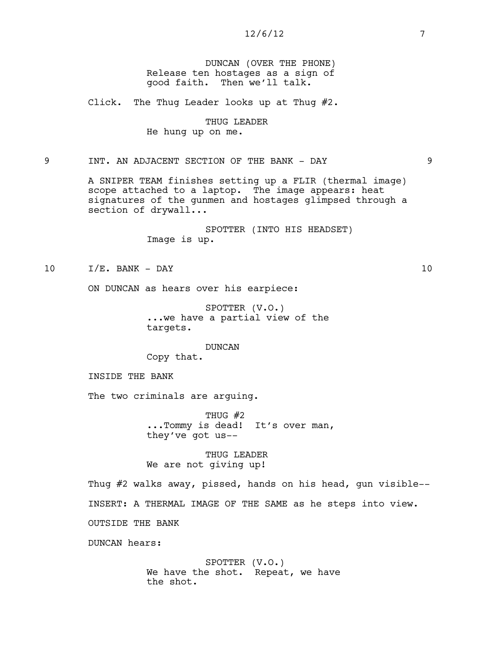DUNCAN (OVER THE PHONE) Release ten hostages as a sign of good faith. Then we'll talk.

Click. The Thug Leader looks up at Thug #2.

THUG LEADER He hung up on me.

## 9 INT. AN ADJACENT SECTION OF THE BANK - DAY 9

A SNIPER TEAM finishes setting up a FLIR (thermal image) scope attached to a laptop. The image appears: heat signatures of the gunmen and hostages glimpsed through a section of drywall...

> SPOTTER (INTO HIS HEADSET) Image is up.

## 10 I/E. BANK - DAY 10

ON DUNCAN as hears over his earpiece:

SPOTTER (V.O.) ...we have a partial view of the targets.

DUNCAN Copy that.

INSIDE THE BANK

The two criminals are arguing.

THUG #2 ...Tommy is dead! It's over man, they've got us--

THUG LEADER We are not giving up!

Thug #2 walks away, pissed, hands on his head, gun visible-- INSERT: A THERMAL IMAGE OF THE SAME as he steps into view. OUTSIDE THE BANK

DUNCAN hears:

SPOTTER (V.O.) We have the shot. Repeat, we have the shot.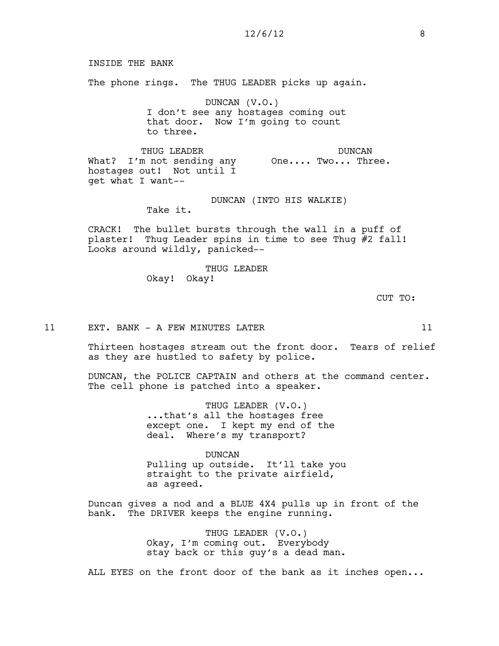INSIDE THE BANK The phone rings. The THUG LEADER picks up again. DUNCAN (V.O.) I don't see any hostages coming out that door. Now I'm going to count to three. THUG LEADER What? I'm not sending any hostages out! Not until I get what I want-- DUNCAN One.... Two... Three. DUNCAN (INTO HIS WALKIE) Take it. CRACK! The bullet bursts through the wall in a puff of plaster! Thug Leader spins in time to see Thug #2 fall! Looks around wildly, panicked-- THUG LEADER Okay! Okay! CUT TO: 11 EXT. BANK - A FEW MINUTES LATER 11 Thirteen hostages stream out the front door. Tears of relief as they are hustled to safety by police.

> DUNCAN, the POLICE CAPTAIN and others at the command center. The cell phone is patched into a speaker.

> > THUG LEADER (V.O.) ...that's all the hostages free except one. I kept my end of the deal. Where's my transport?

DUNCAN Pulling up outside. It'll take you straight to the private airfield, as agreed.

Duncan gives a nod and a BLUE 4X4 pulls up in front of the bank. The DRIVER keeps the engine running.

> THUG LEADER (V.O.) Okay, I'm coming out. Everybody stay back or this guy's a dead man.

ALL EYES on the front door of the bank as it inches open...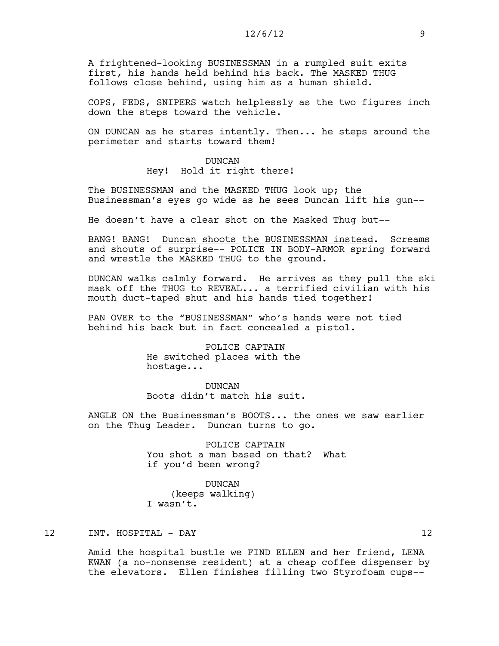A frightened-looking BUSINESSMAN in a rumpled suit exits first, his hands held behind his back. The MASKED THUG follows close behind, using him as a human shield.

COPS, FEDS, SNIPERS watch helplessly as the two figures inch down the steps toward the vehicle.

ON DUNCAN as he stares intently. Then... he steps around the perimeter and starts toward them!

#### DUNCAN

Hey! Hold it right there!

The BUSINESSMAN and the MASKED THUG look up; the Businessman's eyes go wide as he sees Duncan lift his gun--

He doesn't have a clear shot on the Masked Thug but--

BANG! BANG! Duncan shoots the BUSINESSMAN instead. Screams and shouts of surprise-- POLICE IN BODY-ARMOR spring forward and wrestle the MASKED THUG to the ground.

DUNCAN walks calmly forward. He arrives as they pull the ski mask off the THUG to REVEAL... a terrified civilian with his mouth duct-taped shut and his hands tied together!

PAN OVER to the "BUSINESSMAN" who's hands were not tied behind his back but in fact concealed a pistol.

> POLICE CAPTAIN He switched places with the hostage...

DUNCAN Boots didn't match his suit.

ANGLE ON the Businessman's BOOTS... the ones we saw earlier on the Thug Leader. Duncan turns to go.

> POLICE CAPTAIN You shot a man based on that? What if you'd been wrong?

> > DUNCAN

(keeps walking) I wasn't.

#### 12 INT. HOSPITAL - DAY 12

Amid the hospital bustle we FIND ELLEN and her friend, LENA KWAN (a no-nonsense resident) at a cheap coffee dispenser by the elevators. Ellen finishes filling two Styrofoam cups--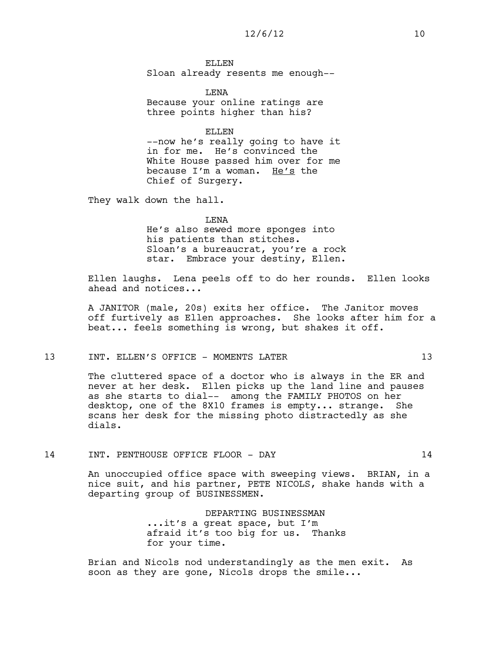ELLEN Sloan already resents me enough--

LENA Because your online ratings are three points higher than his?

ELLEN

--now he's really going to have it in for me. He's convinced the White House passed him over for me because I'm a woman. He's the Chief of Surgery.

They walk down the hall.

LENA He's also sewed more sponges into his patients than stitches. Sloan's a bureaucrat, you're a rock

star. Embrace your destiny, Ellen.

Ellen laughs. Lena peels off to do her rounds. Ellen looks ahead and notices...

A JANITOR (male, 20s) exits her office. The Janitor moves off furtively as Ellen approaches. She looks after him for a beat... feels something is wrong, but shakes it off.

#### 13 INT. ELLEN'S OFFICE - MOMENTS LATER 13

The cluttered space of a doctor who is always in the ER and never at her desk. Ellen picks up the land line and pauses as she starts to dial-- among the FAMILY PHOTOS on her desktop, one of the 8X10 frames is empty... strange. She scans her desk for the missing photo distractedly as she dials.

14 INT. PENTHOUSE OFFICE FLOOR - DAY 14

An unoccupied office space with sweeping views. BRIAN, in a nice suit, and his partner, PETE NICOLS, shake hands with a departing group of BUSINESSMEN.

> DEPARTING BUSINESSMAN ...it's a great space, but I'm afraid it's too big for us. Thanks for your time.

Brian and Nicols nod understandingly as the men exit. As soon as they are gone, Nicols drops the smile...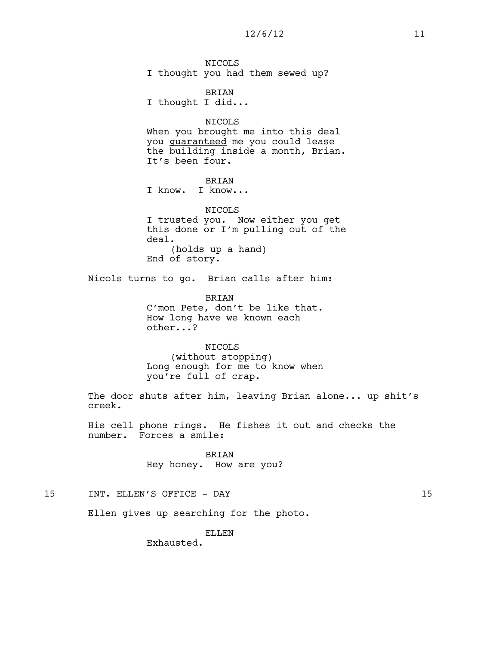## 12/6/12 11

NICOLS I thought you had them sewed up?

BRIAN I thought I did...

NICOLS When you brought me into this deal you guaranteed me you could lease

the building inside a month, Brian. It's been four.

## BRIAN

I know. I know...

NICOLS I trusted you. Now either you get this done or I'm pulling out of the deal. (holds up a hand) End of story.

Nicols turns to go. Brian calls after him:

BRIAN C'mon Pete, don't be like that. How long have we known each other...?

NICOLS (without stopping) Long enough for me to know when you're full of crap.

The door shuts after him, leaving Brian alone... up shit's creek.

His cell phone rings. He fishes it out and checks the number. Forces a smile:

> BRIAN Hey honey. How are you?

## 15 INT. ELLEN'S OFFICE - DAY 15

Ellen gives up searching for the photo.

ELLEN

Exhausted.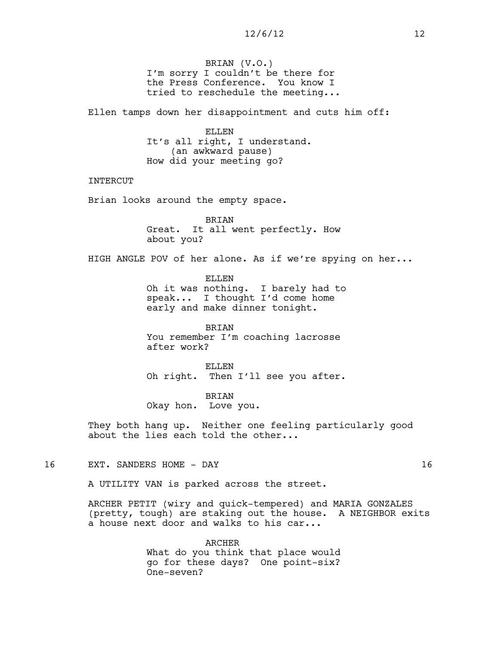BRIAN (V.O.) I'm sorry I couldn't be there for the Press Conference. You know I tried to reschedule the meeting...

Ellen tamps down her disappointment and cuts him off:

ELLEN It's all right, I understand. (an awkward pause) How did your meeting go?

INTERCUT

Brian looks around the empty space.

BRIAN Great. It all went perfectly. How about you?

HIGH ANGLE POV of her alone. As if we're spying on her...

ELLEN Oh it was nothing. I barely had to speak... I thought I'd come home early and make dinner tonight.

BRIAN You remember I'm coaching lacrosse after work?

ELLEN Oh right. Then I'll see you after.

BRIAN Okay hon. Love you.

They both hang up. Neither one feeling particularly good about the lies each told the other...

16 EXT. SANDERS HOME - DAY 16

A UTILITY VAN is parked across the street.

ARCHER PETIT (wiry and quick-tempered) and MARIA GONZALES (pretty, tough) are staking out the house. A NEIGHBOR exits a house next door and walks to his car...

> ARCHER What do you think that place would go for these days? One point-six? One-seven?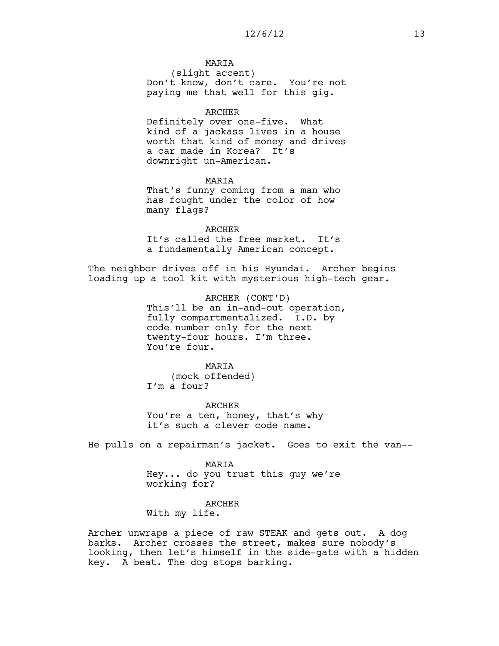## MARIA

(slight accent) Don't know, don't care. You're not paying me that well for this gig.

#### ARCHER

Definitely over one-five. What kind of a jackass lives in a house worth that kind of money and drives a car made in Korea? It's downright un-American.

MARIA

That's funny coming from a man who has fought under the color of how many flags?

ARCHER It's called the free market. It's a fundamentally American concept.

The neighbor drives off in his Hyundai. Archer begins loading up a tool kit with mysterious high-tech gear.

> ARCHER (CONT'D) This'll be an in-and-out operation, fully compartmentalized. I.D. by code number only for the next twenty-four hours. I'm three. You're four.

MARIA (mock offended) I'm a four?

**ARCHER** You're a ten, honey, that's why it's such a clever code name.

He pulls on a repairman's jacket. Goes to exit the van--

#### MARIA

Hey... do you trust this guy we're working for?

ARCHER

With my life.

Archer unwraps a piece of raw STEAK and gets out. A dog barks. Archer crosses the street, makes sure nobody's looking, then let's himself in the side-gate with a hidden key. A beat. The dog stops barking.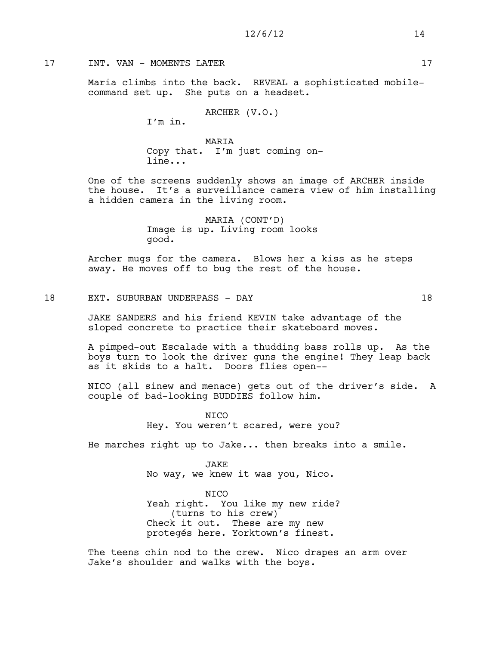## 17 1NT. VAN – MOMENTS LATER 17

Maria climbs into the back. REVEAL a sophisticated mobilecommand set up. She puts on a headset.

ARCHER (V.O.)

I'm in.

MARIA Copy that. I'm just coming online...

One of the screens suddenly shows an image of ARCHER inside the house. It's a surveillance camera view of him installing a hidden camera in the living room.

> MARIA (CONT'D) Image is up. Living room looks good.

Archer mugs for the camera. Blows her a kiss as he steps away. He moves off to bug the rest of the house.

## 18 EXT. SUBURBAN UNDERPASS - DAY 18

JAKE SANDERS and his friend KEVIN take advantage of the sloped concrete to practice their skateboard moves.

A pimped-out Escalade with a thudding bass rolls up. As the boys turn to look the driver guns the engine! They leap back as it skids to a halt. Doors flies open--

NICO (all sinew and menace) gets out of the driver's side. A couple of bad-looking BUDDIES follow him.

> **NTCO** Hey. You weren't scared, were you?

He marches right up to Jake... then breaks into a smile.

JAKE No way, we knew it was you, Nico.

NICO Yeah right. You like my new ride? (turns to his crew) Check it out. These are my new protegés here. Yorktown's finest.

The teens chin nod to the crew. Nico drapes an arm over Jake's shoulder and walks with the boys.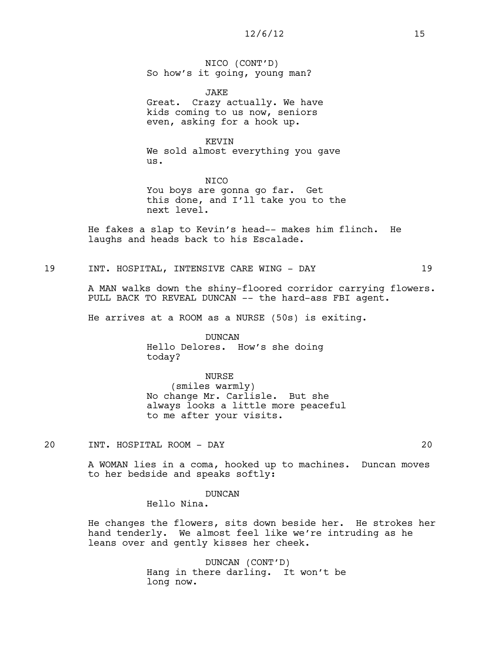NICO (CONT'D) So how's it going, young man?

JAKE Great. Crazy actually. We have kids coming to us now, seniors even, asking for a hook up.

KEVIN We sold almost everything you gave us.

NICO You boys are gonna go far. Get this done, and I'll take you to the next level.

He fakes a slap to Kevin's head-- makes him flinch. He laughs and heads back to his Escalade.

19 INT. HOSPITAL, INTENSIVE CARE WING - DAY 19

A MAN walks down the shiny-floored corridor carrying flowers. PULL BACK TO REVEAL DUNCAN -- the hard-ass FBI agent.

He arrives at a ROOM as a NURSE (50s) is exiting.

DUNCAN Hello Delores. How's she doing today?

NURSE (smiles warmly) No change Mr. Carlisle. But she always looks a little more peaceful

20 INT. HOSPITAL ROOM - DAY 20

A WOMAN lies in a coma, hooked up to machines. Duncan moves to her bedside and speaks softly:

DUNCAN

to me after your visits.

Hello Nina.

He changes the flowers, sits down beside her. He strokes her hand tenderly. We almost feel like we're intruding as he leans over and gently kisses her cheek.

> DUNCAN (CONT'D) Hang in there darling. It won't be long now.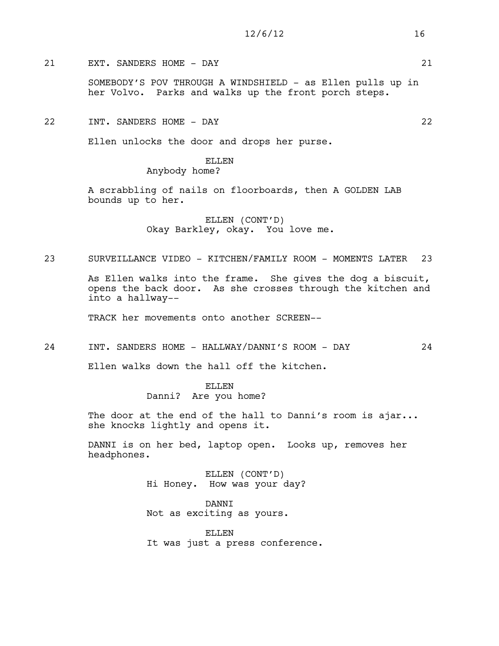## 21 EXT. SANDERS HOME - DAY 21

SOMEBODY'S POV THROUGH A WINDSHIELD - as Ellen pulls up in her Volvo. Parks and walks up the front porch steps.

22 INT. SANDERS HOME - DAY 22

Ellen unlocks the door and drops her purse.

ELLEN

Anybody home?

A scrabbling of nails on floorboards, then A GOLDEN LAB bounds up to her.

> ELLEN (CONT'D) Okay Barkley, okay. You love me.

23 SURVEILLANCE VIDEO - KITCHEN/FAMILY ROOM - MOMENTS LATER 23

As Ellen walks into the frame. She gives the dog a biscuit, opens the back door. As she crosses through the kitchen and into a hallway--

TRACK her movements onto another SCREEN--

24 INT. SANDERS HOME - HALLWAY/DANNI'S ROOM - DAY 24

Ellen walks down the hall off the kitchen.

ELLEN Danni? Are you home?

The door at the end of the hall to Danni's room is ajar... she knocks lightly and opens it.

DANNI is on her bed, laptop open. Looks up, removes her headphones.

> ELLEN (CONT'D) Hi Honey. How was your day?

DANNI Not as exciting as yours.

ELLEN. It was just a press conference.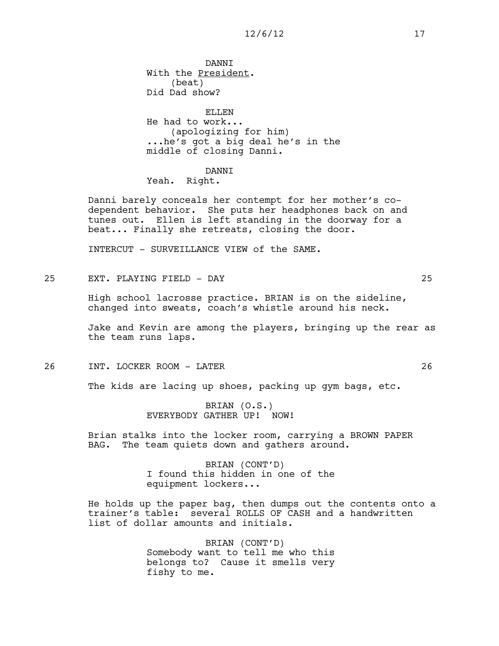**DANNT** With the President. (beat) Did Dad show?

ELLEN He had to work... (apologizing for him) ...he's got a big deal he's in the middle of closing Danni.

DANNI Yeah. Right.

Danni barely conceals her contempt for her mother's co-

dependent behavior. She puts her headphones back on and tunes out. Ellen is left standing in the doorway for a beat... Finally she retreats, closing the door.

INTERCUT - SURVEILLANCE VIEW of the SAME.

25 EXT. PLAYING FIELD - DAY 25

High school lacrosse practice. BRIAN is on the sideline, changed into sweats, coach's whistle around his neck.

Jake and Kevin are among the players, bringing up the rear as the team runs laps.

26 INT. LOCKER ROOM - LATER 26

The kids are lacing up shoes, packing up gym bags, etc.

BRIAN (O.S.) EVERYBODY GATHER UP! NOW!

Brian stalks into the locker room, carrying a BROWN PAPER BAG. The team quiets down and gathers around.

> BRIAN (CONT'D) I found this hidden in one of the equipment lockers...

He holds up the paper bag, then dumps out the contents onto a trainer's table: several ROLLS OF CASH and a handwritten list of dollar amounts and initials.

> BRIAN (CONT'D) Somebody want to tell me who this belongs to? Cause it smells very fishy to me.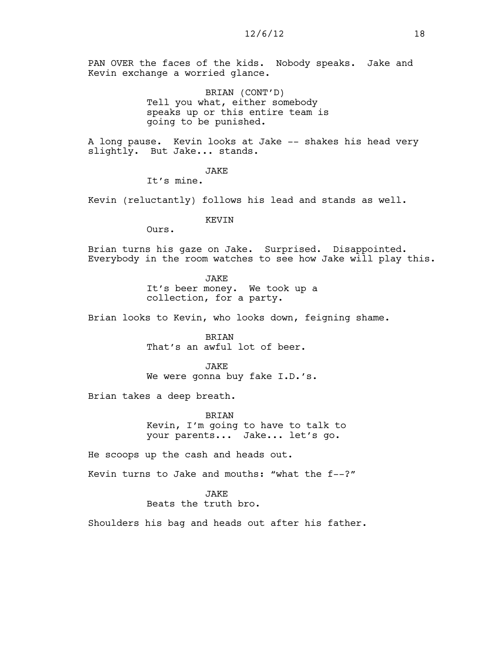## 12/6/12 18

PAN OVER the faces of the kids. Nobody speaks. Jake and Kevin exchange a worried glance.

> BRIAN (CONT'D) Tell you what, either somebody speaks up or this entire team is going to be punished.

A long pause. Kevin looks at Jake -- shakes his head very slightly. But Jake... stands.

JAKE

It's mine.

Kevin (reluctantly) follows his lead and stands as well.

KEVIN

Ours.

Brian turns his gaze on Jake. Surprised. Disappointed. Everybody in the room watches to see how Jake will play this.

> JAKE It's beer money. We took up a collection, for a party.

Brian looks to Kevin, who looks down, feigning shame.

BRIAN That's an awful lot of beer.

**JAKE** We were gonna buy fake I.D.'s.

Brian takes a deep breath.

BRIAN Kevin, I'm going to have to talk to your parents... Jake... let's go.

He scoops up the cash and heads out.

Kevin turns to Jake and mouths: "what the f--?"

**JAKE** 

Beats the truth bro.

Shoulders his bag and heads out after his father.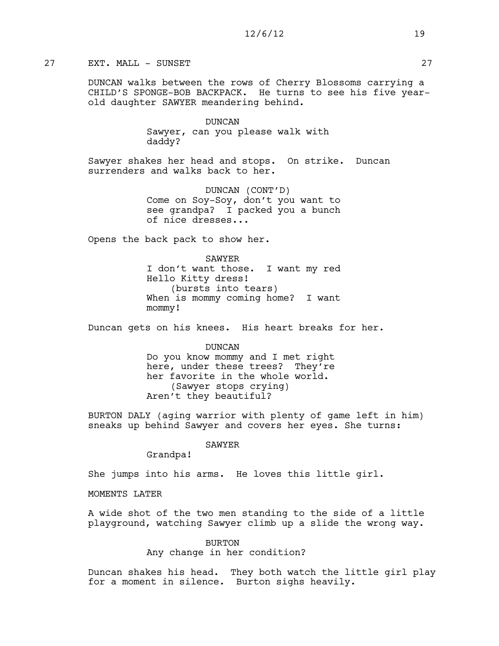## 27 EXT. MALL - SUNSET 27

DUNCAN walks between the rows of Cherry Blossoms carrying a CHILD'S SPONGE-BOB BACKPACK. He turns to see his five yearold daughter SAWYER meandering behind.

> DUNCAN Sawyer, can you please walk with daddy?

Sawyer shakes her head and stops. On strike. Duncan surrenders and walks back to her.

> DUNCAN (CONT'D) Come on Soy-Soy, don't you want to see grandpa? I packed you a bunch of nice dresses...

Opens the back pack to show her.

SAWYER I don't want those. I want my red Hello Kitty dress! (bursts into tears) When is mommy coming home? I want mommy!

Duncan gets on his knees. His heart breaks for her.

DUNCAN

Do you know mommy and I met right here, under these trees? They're her favorite in the whole world. (Sawyer stops crying) Aren't they beautiful?

BURTON DALY (aging warrior with plenty of game left in him) sneaks up behind Sawyer and covers her eyes. She turns:

SAWYER

Grandpa!

She jumps into his arms. He loves this little girl.

MOMENTS LATER

A wide shot of the two men standing to the side of a little playground, watching Sawyer climb up a slide the wrong way.

BURTON

Any change in her condition?

Duncan shakes his head. They both watch the little girl play for a moment in silence. Burton sighs heavily.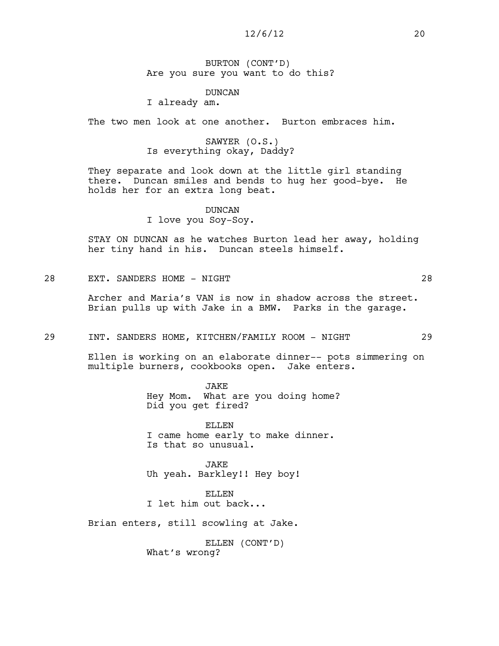BURTON (CONT'D) Are you sure you want to do this?

#### DUNCAN

I already am.

The two men look at one another. Burton embraces him.

## SAWYER (O.S.) Is everything okay, Daddy?

They separate and look down at the little girl standing there. Duncan smiles and bends to hug her good-bye. He holds her for an extra long beat.

# DUNCAN

I love you Soy-Soy.

STAY ON DUNCAN as he watches Burton lead her away, holding her tiny hand in his. Duncan steels himself.

## 28 EXT. SANDERS HOME - NIGHT 28

Archer and Maria's VAN is now in shadow across the street. Brian pulls up with Jake in a BMW. Parks in the garage.

#### 29 INT. SANDERS HOME, KITCHEN/FAMILY ROOM - NIGHT 29

Ellen is working on an elaborate dinner-- pots simmering on multiple burners, cookbooks open. Jake enters.

> JAKE Hey Mom. What are you doing home? Did you get fired?

ELLEN I came home early to make dinner. Is that so unusual.

JAKE Uh yeah. Barkley!! Hey boy!

ELLEN I let him out back...

Brian enters, still scowling at Jake.

ELLEN (CONT'D) What's wrong?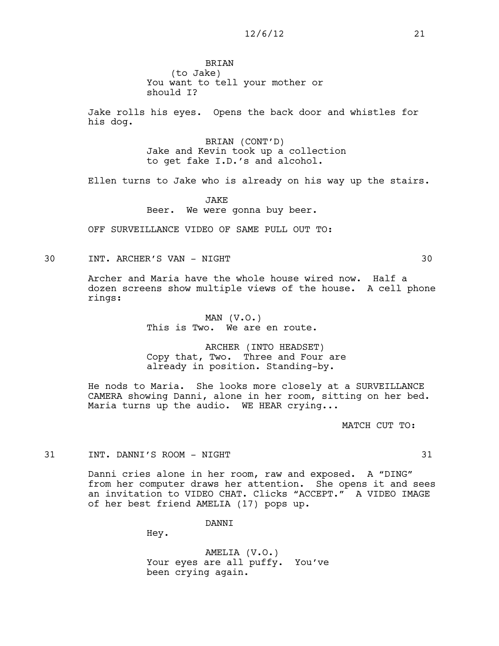**BRIAN** (to Jake) You want to tell your mother or should I?

Jake rolls his eyes. Opens the back door and whistles for his dog.

> BRIAN (CONT'D) Jake and Kevin took up a collection to get fake I.D.'s and alcohol.

Ellen turns to Jake who is already on his way up the stairs.

JAKE Beer. We were gonna buy beer.

OFF SURVEILLANCE VIDEO OF SAME PULL OUT TO:

30 INT. ARCHER'S VAN - NIGHT 30

Archer and Maria have the whole house wired now. Half a dozen screens show multiple views of the house. A cell phone rings:

> MAN (V.O.) This is Two. We are en route.

ARCHER (INTO HEADSET) Copy that, Two. Three and Four are already in position. Standing-by.

He nods to Maria. She looks more closely at a SURVEILLANCE CAMERA showing Danni, alone in her room, sitting on her bed. Maria turns up the audio. WE HEAR crying...

MATCH CUT TO:

31 INT. DANNI'S ROOM - NIGHT 31

Danni cries alone in her room, raw and exposed. A "DING" from her computer draws her attention. She opens it and sees an invitation to VIDEO CHAT. Clicks "ACCEPT." A VIDEO IMAGE of her best friend AMELIA (17) pops up.

DANNI

Hey.

AMELIA (V.O.) Your eyes are all puffy. You've been crying again.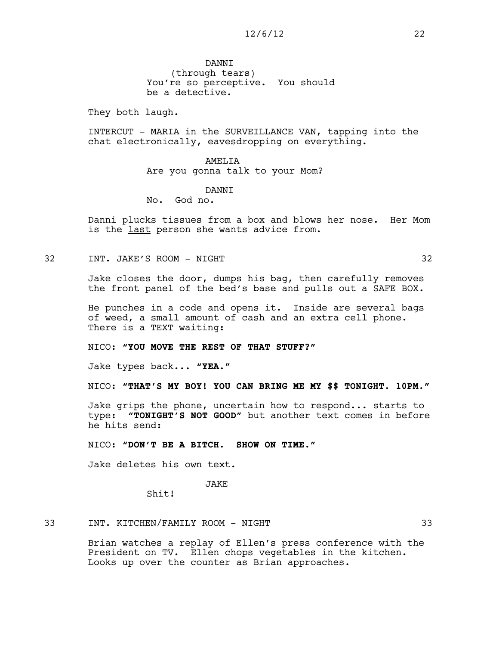## 12/6/12 22

**DANNT** (through tears) You're so perceptive. You should be a detective.

They both laugh.

INTERCUT - MARIA in the SURVEILLANCE VAN, tapping into the chat electronically, eavesdropping on everything.

> AMELIA Are you gonna talk to your Mom?

## **DANNT**

No. God no.

Danni plucks tissues from a box and blows her nose. Her Mom is the last person she wants advice from.

32 INT. JAKE'S ROOM - NIGHT 32

Jake closes the door, dumps his bag, then carefully removes the front panel of the bed's base and pulls out a SAFE BOX.

He punches in a code and opens it. Inside are several bags of weed, a small amount of cash and an extra cell phone. There is a TEXT waiting:

NICO: **"YOU MOVE THE REST OF THAT STUFF?"**

Jake types back... **"YEA."**

NICO: **"THAT'S MY BOY! YOU CAN BRING ME MY \$\$ TONIGHT. 10PM."**

Jake grips the phone, uncertain how to respond... starts to type: **"TONIGHT'S NOT GOOD"** but another text comes in before he hits send:

NICO: **"DON'T BE A BITCH. SHOW ON TIME."**

Jake deletes his own text.

## JAKE

Shit!

### 33 INT. KITCHEN/FAMILY ROOM - NIGHT 33

Brian watches a replay of Ellen's press conference with the President on TV. Ellen chops vegetables in the kitchen. Looks up over the counter as Brian approaches.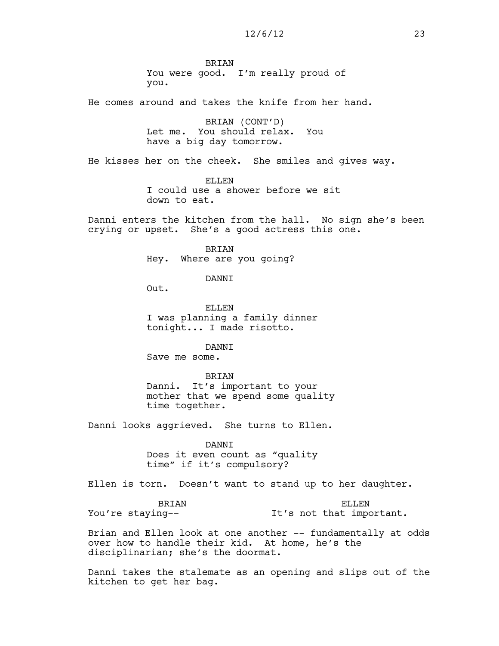**BRTAN** You were good. I'm really proud of you.

He comes around and takes the knife from her hand.

BRIAN (CONT'D) Let me. You should relax. You have a big day tomorrow.

He kisses her on the cheek. She smiles and gives way.

ELLEN I could use a shower before we sit down to eat.

Danni enters the kitchen from the hall. No sign she's been crying or upset. She's a good actress this one.

> BRIAN Hey. Where are you going?

> > **DANNT**

Out.

ELLEN I was planning a family dinner tonight... I made risotto.

DANNI

Save me some.

BRIAN

Danni. It's important to your mother that we spend some quality time together.

Danni looks aggrieved. She turns to Ellen.

DANNI Does it even count as "quality time" if it's compulsory?

Ellen is torn. Doesn't want to stand up to her daughter.

BRIAN You're staying-- ELLEN It's not that important.

Brian and Ellen look at one another -- fundamentally at odds over how to handle their kid. At home, he's the disciplinarian; she's the doormat.

Danni takes the stalemate as an opening and slips out of the kitchen to get her bag.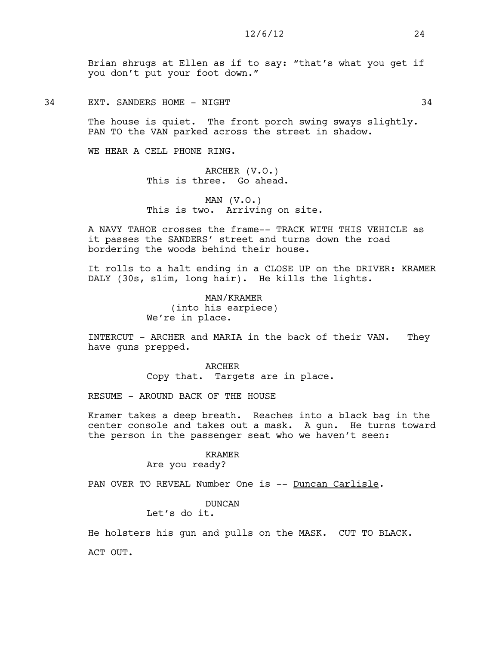Brian shrugs at Ellen as if to say: "that's what you get if you don't put your foot down."

34 EXT. SANDERS HOME - NIGHT 34

The house is quiet. The front porch swing sways slightly. PAN TO the VAN parked across the street in shadow.

WE HEAR A CELL PHONE RING.

ARCHER (V.O.) This is three. Go ahead.

MAN  $(V.O.)$ This is two. Arriving on site.

A NAVY TAHOE crosses the frame-- TRACK WITH THIS VEHICLE as it passes the SANDERS' street and turns down the road bordering the woods behind their house.

It rolls to a halt ending in a CLOSE UP on the DRIVER: KRAMER DALY (30s, slim, long hair). He kills the lights.

> MAN/KRAMER (into his earpiece) We're in place.

INTERCUT - ARCHER and MARIA in the back of their VAN. They have guns prepped.

> ARCHER Copy that. Targets are in place.

RESUME - AROUND BACK OF THE HOUSE

Kramer takes a deep breath. Reaches into a black bag in the center console and takes out a mask. A gun. He turns toward the person in the passenger seat who we haven't seen:

#### KRAMER

Are you ready?

PAN OVER TO REVEAL Number One is -- Duncan Carlisle.

DUNCAN

Let's do it.

He holsters his gun and pulls on the MASK. CUT TO BLACK.

ACT OUT.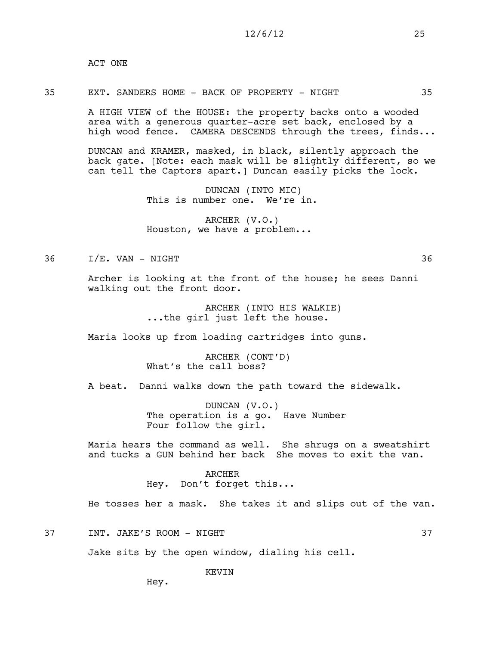ACT ONE

#### 35 EXT. SANDERS HOME - BACK OF PROPERTY - NIGHT 35

A HIGH VIEW of the HOUSE: the property backs onto a wooded area with a generous quarter-acre set back, enclosed by a high wood fence. CAMERA DESCENDS through the trees, finds...

DUNCAN and KRAMER, masked, in black, silently approach the back gate. [Note: each mask will be slightly different, so we can tell the Captors apart.] Duncan easily picks the lock.

> DUNCAN (INTO MIC) This is number one. We're in.

ARCHER (V.O.) Houston, we have a problem...

## 36 I/E. VAN - NIGHT 36

Archer is looking at the front of the house; he sees Danni walking out the front door.

> ARCHER (INTO HIS WALKIE) ...the girl just left the house.

Maria looks up from loading cartridges into guns.

ARCHER (CONT'D) What's the call boss?

A beat. Danni walks down the path toward the sidewalk.

DUNCAN (V.O.) The operation is a go. Have Number Four follow the girl.

Maria hears the command as well. She shrugs on a sweatshirt and tucks a GUN behind her back She moves to exit the van.

> **ARCHER** Hey. Don't forget this...

He tosses her a mask. She takes it and slips out of the van.

37 INT. JAKE'S ROOM - NIGHT 37

Jake sits by the open window, dialing his cell.

KEVIN

Hey.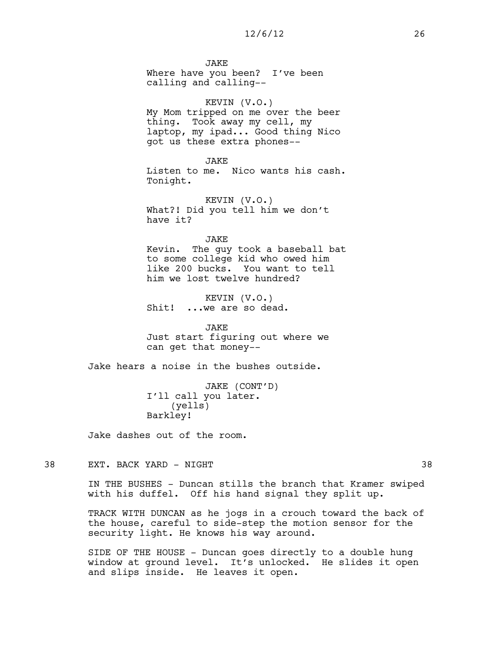**JAKE** Where have you been? I've been calling and calling--

KEVIN (V.O.) My Mom tripped on me over the beer thing. Took away my cell, my laptop, my ipad... Good thing Nico got us these extra phones--

JAKE Listen to me. Nico wants his cash. Tonight.

KEVIN (V.O.) What?! Did you tell him we don't have it?

JAKE

Kevin. The guy took a baseball bat to some college kid who owed him like 200 bucks. You want to tell him we lost twelve hundred?

KEVIN (V.O.) Shit! ...we are so dead.

JAKE Just start figuring out where we can get that money--

Jake hears a noise in the bushes outside.

JAKE (CONT'D) I'll call you later. (yells) Barkley!

Jake dashes out of the room.

38 EXT. BACK YARD - NIGHT 38

IN THE BUSHES - Duncan stills the branch that Kramer swiped

TRACK WITH DUNCAN as he jogs in a crouch toward the back of the house, careful to side-step the motion sensor for the security light. He knows his way around.

with his duffel. Off his hand signal they split up.

SIDE OF THE HOUSE - Duncan goes directly to a double hung window at ground level. It's unlocked. He slides it open and slips inside. He leaves it open.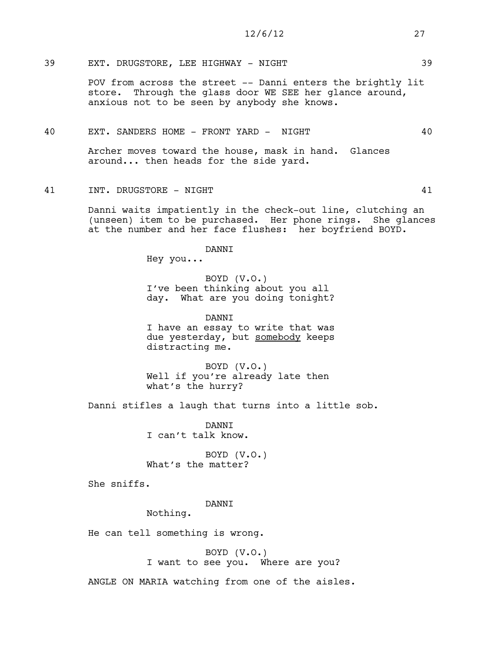39 EXT. DRUGSTORE, LEE HIGHWAY - NIGHT

POV from across the street -- Danni enters the brightly lit store. Through the glass door WE SEE her glance around, anxious not to be seen by anybody she knows.

#### 40 EXT. SANDERS HOME - FRONT YARD - NIGHT 40

Archer moves toward the house, mask in hand. Glances around... then heads for the side yard.

41 INT. DRUGSTORE - NIGHT 41

Danni waits impatiently in the check-out line, clutching an (unseen) item to be purchased. Her phone rings. She glances at the number and her face flushes: her boyfriend BOYD.

DANNI

Hey you...

BOYD (V.O.) I've been thinking about you all day. What are you doing tonight?

DANNI I have an essay to write that was due yesterday, but somebody keeps distracting me.

BOYD (V.O.) Well if you're already late then what's the hurry?

Danni stifles a laugh that turns into a little sob.

**DANNT** I can't talk know.

BOYD (V.O.) What's the matter?

She sniffs.

### DANNI

Nothing.

He can tell something is wrong.

BOYD (V.O.) I want to see you. Where are you?

ANGLE ON MARIA watching from one of the aisles.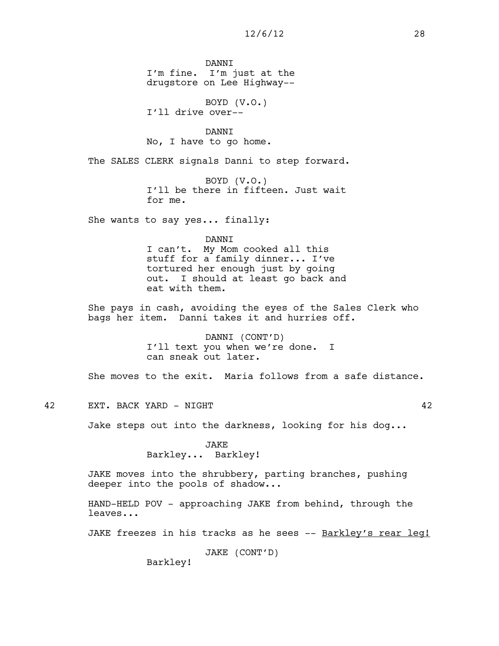DANNI I'm fine. I'm just at the drugstore on Lee Highway--

BOYD (V.O.) I'll drive over--

DANNI No, I have to go home.

The SALES CLERK signals Danni to step forward.

BOYD (V.O.) I'll be there in fifteen. Just wait for me.

She wants to say yes... finally:

#### DANNI

I can't. My Mom cooked all this stuff for a family dinner... I've tortured her enough just by going out. I should at least go back and eat with them.

She pays in cash, avoiding the eyes of the Sales Clerk who bags her item. Danni takes it and hurries off.

> DANNI (CONT'D) I'll text you when we're done. I can sneak out later.

She moves to the exit. Maria follows from a safe distance.

42 EXT. BACK YARD - NIGHT 42

Jake steps out into the darkness, looking for his dog...

JAKE Barkley... Barkley!

JAKE moves into the shrubbery, parting branches, pushing deeper into the pools of shadow...

HAND-HELD POV - approaching JAKE from behind, through the leaves...

JAKE freezes in his tracks as he sees -- Barkley's rear leg!

JAKE (CONT'D)

Barkley!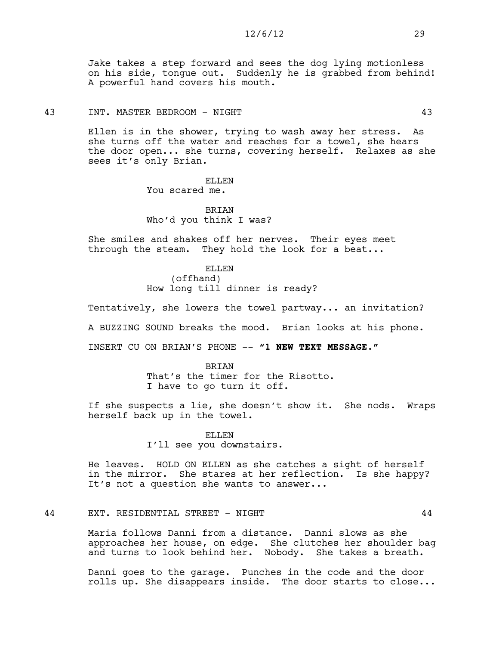Jake takes a step forward and sees the dog lying motionless on his side, tongue out. Suddenly he is grabbed from behind! A powerful hand covers his mouth.

#### 43 INT. MASTER BEDROOM - NIGHT 43

Ellen is in the shower, trying to wash away her stress. As she turns off the water and reaches for a towel, she hears the door open... she turns, covering herself. Relaxes as she sees it's only Brian.

> ELLEN You scared me.

**BRTAN** Who'd you think I was?

She smiles and shakes off her nerves. Their eyes meet through the steam. They hold the look for a beat...

> ELLEN (offhand) How long till dinner is ready?

Tentatively, she lowers the towel partway... an invitation?

A BUZZING SOUND breaks the mood. Brian looks at his phone.

INSERT CU ON BRIAN'S PHONE -- **"1 NEW TEXT MESSAGE."**

BRIAN That's the timer for the Risotto. I have to go turn it off.

If she suspects a lie, she doesn't show it. She nods. Wraps herself back up in the towel.

> ELLEN I'll see you downstairs.

He leaves. HOLD ON ELLEN as she catches a sight of herself in the mirror. She stares at her reflection. Is she happy? It's not a question she wants to answer...

## 44 EXT. RESIDENTIAL STREET - NIGHT 44

Maria follows Danni from a distance. Danni slows as she approaches her house, on edge. She clutches her shoulder bag and turns to look behind her. Nobody. She takes a breath.

Danni goes to the garage. Punches in the code and the door rolls up. She disappears inside. The door starts to close...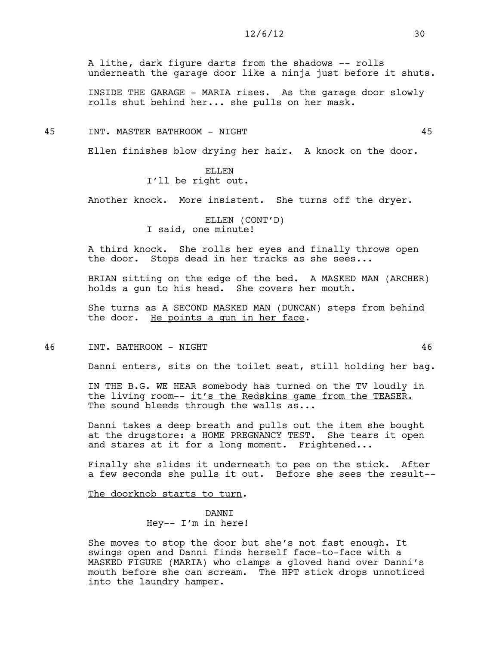A lithe, dark figure darts from the shadows -- rolls underneath the garage door like a ninja just before it shuts.

INSIDE THE GARAGE - MARIA rises. As the garage door slowly rolls shut behind her... she pulls on her mask.

#### 45 INT. MASTER BATHROOM - NIGHT 45

Ellen finishes blow drying her hair. A knock on the door.

## ELLEN I'll be right out.

Another knock. More insistent. She turns off the dryer.

ELLEN (CONT'D) I said, one minute!

A third knock. She rolls her eyes and finally throws open the door. Stops dead in her tracks as she sees...

BRIAN sitting on the edge of the bed. A MASKED MAN (ARCHER) holds a gun to his head. She covers her mouth.

She turns as A SECOND MASKED MAN (DUNCAN) steps from behind the door. He points a qun in her face.

46 INT. BATHROOM - NIGHT 46

Danni enters, sits on the toilet seat, still holding her bag.

IN THE B.G. WE HEAR somebody has turned on the TV loudly in the living room-- it's the Redskins game from the TEASER. The sound bleeds through the walls as...

Danni takes a deep breath and pulls out the item she bought at the drugstore: a HOME PREGNANCY TEST. She tears it open and stares at it for a long moment. Frightened...

Finally she slides it underneath to pee on the stick. After a few seconds she pulls it out. Before she sees the result--

The doorknob starts to turn.

DANNI Hey-- I'm in here!

She moves to stop the door but she's not fast enough. It swings open and Danni finds herself face-to-face with a MASKED FIGURE (MARIA) who clamps a gloved hand over Danni's mouth before she can scream. The HPT stick drops unnoticed into the laundry hamper.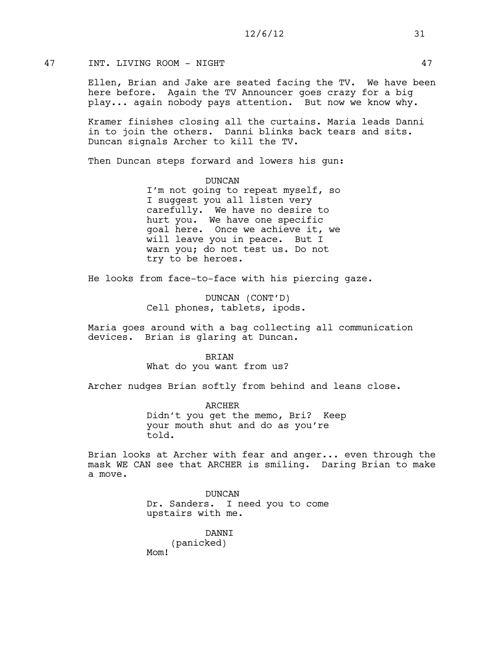## 47 INT. LIVING ROOM - NIGHT 47

Ellen, Brian and Jake are seated facing the TV. We have been here before. Again the TV Announcer goes crazy for a big play... again nobody pays attention. But now we know why.

Kramer finishes closing all the curtains. Maria leads Danni in to join the others. Danni blinks back tears and sits. Duncan signals Archer to kill the TV.

Then Duncan steps forward and lowers his gun:

DUNCAN I'm not going to repeat myself, so I suggest you all listen very carefully. We have no desire to hurt you. We have one specific goal here. Once we achieve it, we will leave you in peace. But I warn you; do not test us. Do not try to be heroes.

He looks from face-to-face with his piercing gaze.

DUNCAN (CONT'D) Cell phones, tablets, ipods.

Maria goes around with a bag collecting all communication devices. Brian is glaring at Duncan.

> BRIAN What do you want from us?

Archer nudges Brian softly from behind and leans close.

ARCHER Didn't you get the memo, Bri? Keep your mouth shut and do as you're told.

Brian looks at Archer with fear and anger... even through the mask WE CAN see that ARCHER is smiling. Daring Brian to make a move.

> DUNCAN Dr. Sanders. I need you to come upstairs with me.

**DANNT** (panicked) Mom!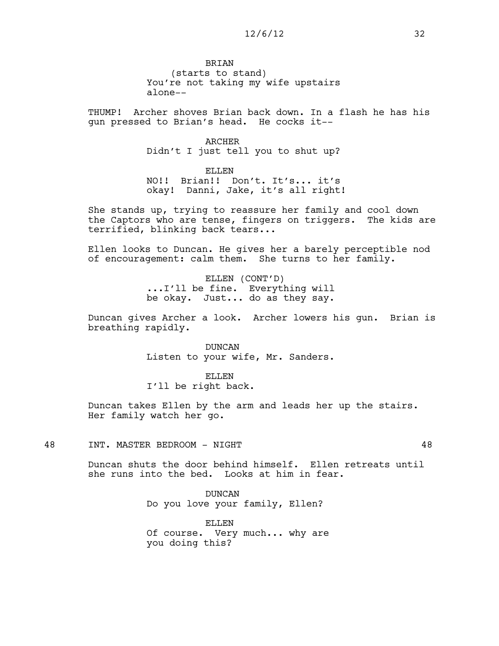**BRTAN** (starts to stand) You're not taking my wife upstairs alone--

THUMP! Archer shoves Brian back down. In a flash he has his gun pressed to Brian's head. He cocks it--

> ARCHER Didn't I just tell you to shut up?

ELLEN. NO!! Brian!! Don't. It's... it's okay! Danni, Jake, it's all right!

She stands up, trying to reassure her family and cool down the Captors who are tense, fingers on triggers. The kids are terrified, blinking back tears...

Ellen looks to Duncan. He gives her a barely perceptible nod of encouragement: calm them. She turns to her family.

> ELLEN (CONT'D) ...I'll be fine. Everything will be okay. Just... do as they say.

Duncan gives Archer a look. Archer lowers his gun. Brian is breathing rapidly.

> DUNCAN Listen to your wife, Mr. Sanders.

ELLEN I'll be right back.

Duncan takes Ellen by the arm and leads her up the stairs. Her family watch her go.

48 INT. MASTER BEDROOM - NIGHT 48

Duncan shuts the door behind himself. Ellen retreats until she runs into the bed. Looks at him in fear.

> DUNCAN Do you love your family, Ellen?

ELLEN Of course. Very much... why are you doing this?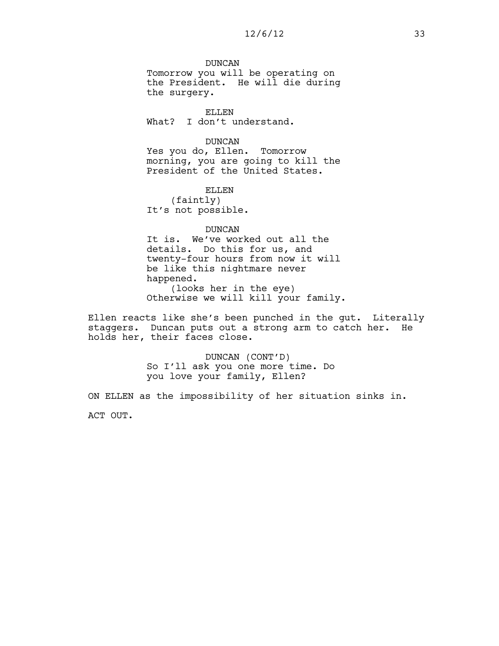DUNCAN Tomorrow you will be operating on the President. He will die during the surgery.

ELLEN What? I don't understand.

DUNCAN

Yes you do, Ellen. Tomorrow morning, you are going to kill the President of the United States.

ELLEN

(faintly) It's not possible.

DUNCAN

It is. We've worked out all the details. Do this for us, and twenty-four hours from now it will be like this nightmare never happened. (looks her in the eye) Otherwise we will kill your family.

Ellen reacts like she's been punched in the gut. Literally staggers. Duncan puts out a strong arm to catch her. He holds her, their faces close.

> DUNCAN (CONT'D) So I'll ask you one more time. Do you love your family, Ellen?

ON ELLEN as the impossibility of her situation sinks in. ACT OUT.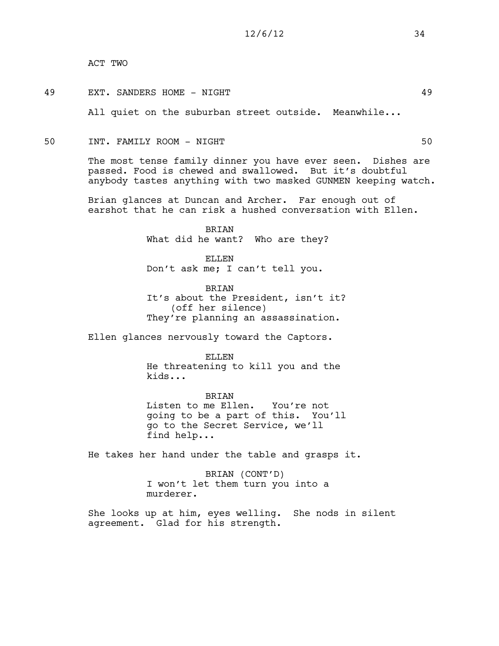ACT TWO

# 49 EXT. SANDERS HOME - NIGHT 49

All quiet on the suburban street outside. Meanwhile...

50 INT. FAMILY ROOM - NIGHT 50

The most tense family dinner you have ever seen. Dishes are passed. Food is chewed and swallowed. But it's doubtful anybody tastes anything with two masked GUNMEN keeping watch.

Brian glances at Duncan and Archer. Far enough out of earshot that he can risk a hushed conversation with Ellen.

> BRIAN What did he want? Who are they?

ELLEN Don't ask me; I can't tell you.

BRIAN It's about the President, isn't it? (off her silence) They're planning an assassination.

Ellen glances nervously toward the Captors.

#### ELLEN

He threatening to kill you and the kids...

BRIAN Listen to me Ellen. You're not going to be a part of this. You'll go to the Secret Service, we'll find help...

He takes her hand under the table and grasps it.

BRIAN (CONT'D) I won't let them turn you into a murderer.

She looks up at him, eyes welling. She nods in silent agreement. Glad for his strength.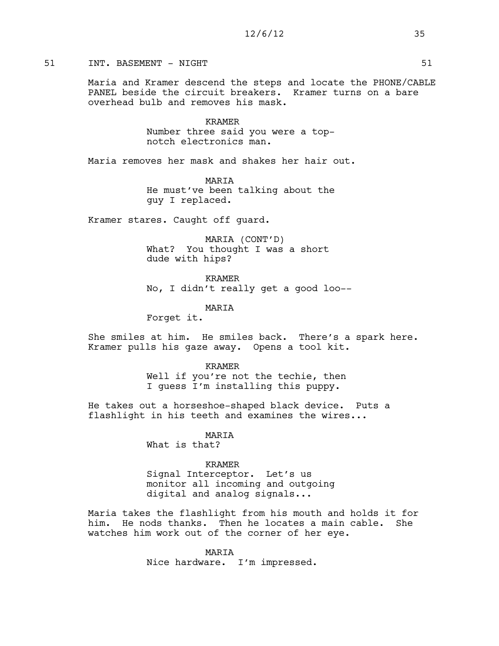## 51 INT. BASEMENT - NIGHT 51

Maria and Kramer descend the steps and locate the PHONE/CABLE PANEL beside the circuit breakers. Kramer turns on a bare overhead bulb and removes his mask.

> KRAMER Number three said you were a topnotch electronics man.

Maria removes her mask and shakes her hair out.

MARIA He must've been talking about the guy I replaced.

Kramer stares. Caught off guard.

MARIA (CONT'D) What? You thought I was a short dude with hips?

KRAMER No, I didn't really get a good loo--

MARIA

Forget it.

She smiles at him. He smiles back. There's a spark here. Kramer pulls his gaze away. Opens a tool kit.

> KRAMER Well if you're not the techie, then I guess I'm installing this puppy.

He takes out a horseshoe-shaped black device. Puts a flashlight in his teeth and examines the wires...

MARIA

What is that?

## KRAMER

Signal Interceptor. Let's us monitor all incoming and outgoing digital and analog signals...

Maria takes the flashlight from his mouth and holds it for him. He nods thanks. Then he locates a main cable. She watches him work out of the corner of her eye.

#### MARIA

Nice hardware. I'm impressed.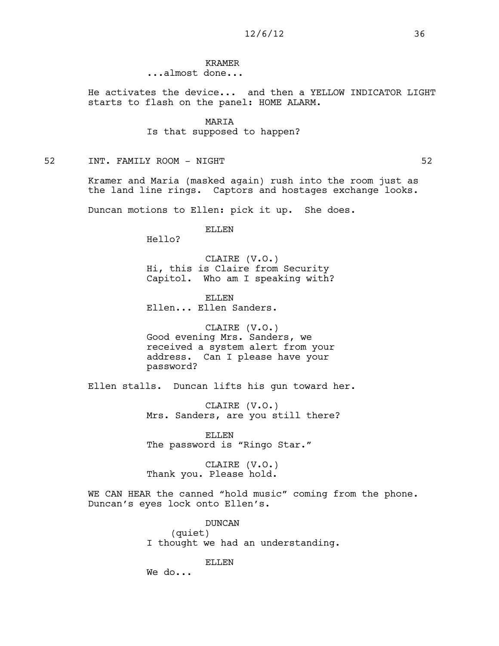### KRAMER

...almost done...

He activates the device... and then a YELLOW INDICATOR LIGHT starts to flash on the panel: HOME ALARM.

> MARIA Is that supposed to happen?

52 INT. FAMILY ROOM - NIGHT 52 52

Kramer and Maria (masked again) rush into the room just as the land line rings. Captors and hostages exchange looks.

Duncan motions to Ellen: pick it up. She does.

ELLEN

Hello?

CLAIRE (V.O.) Hi, this is Claire from Security Capitol. Who am I speaking with?

ELLEN Ellen... Ellen Sanders.

CLAIRE (V.O.) Good evening Mrs. Sanders, we received a system alert from your address. Can I please have your password?

Ellen stalls. Duncan lifts his gun toward her.

CLAIRE (V.O.) Mrs. Sanders, are you still there?

ELLEN The password is "Ringo Star."

CLAIRE (V.O.) Thank you. Please hold.

WE CAN HEAR the canned "hold music" coming from the phone. Duncan's eyes lock onto Ellen's.

> DUNCAN (quiet) I thought we had an understanding.

> > ELLEN

We do...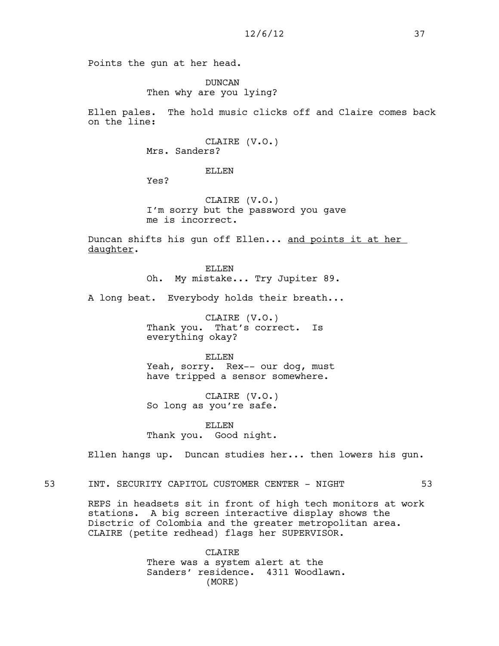Points the gun at her head.

DUNCAN Then why are you lying?

Ellen pales. The hold music clicks off and Claire comes back on the line:

> CLAIRE (V.O.) Mrs. Sanders?

> > ELLEN

Yes?

CLAIRE (V.O.) I'm sorry but the password you gave me is incorrect.

Duncan shifts his gun off Ellen... and points it at her daughter.

> ELLEN Oh. My mistake... Try Jupiter 89.

A long beat. Everybody holds their breath...

CLAIRE (V.O.) Thank you. That's correct. Is everything okay?

ELLEN

Yeah, sorry. Rex-- our dog, must have tripped a sensor somewhere.

CLAIRE (V.O.) So long as you're safe.

ELLEN Thank you. Good night.

Ellen hangs up. Duncan studies her... then lowers his gun.

53 INT. SECURITY CAPITOL CUSTOMER CENTER - NIGHT 53

REPS in headsets sit in front of high tech monitors at work stations. A big screen interactive display shows the Disctric of Colombia and the greater metropolitan area. CLAIRE (petite redhead) flags her SUPERVISOR.

> CLAIRE There was a system alert at the Sanders' residence. 4311 Woodlawn. (MORE)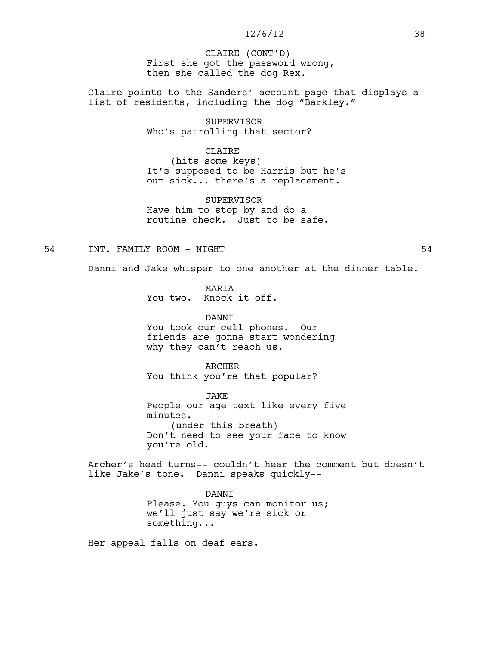## 12/6/12 38

First she got the password wrong, then she called the dog Rex. CLAIRE (CONT'D)

Claire points to the Sanders' account page that displays a list of residents, including the dog "Barkley."

> SUPERVISOR Who's patrolling that sector?

CLAIRE (hits some keys) It's supposed to be Harris but he's out sick... there's a replacement.

SUPERVISOR Have him to stop by and do a routine check. Just to be safe.

## 54 INT. FAMILY ROOM - NIGHT 54

Danni and Jake whisper to one another at the dinner table.

MARIA You two. Knock it off.

DANNI You took our cell phones. Our friends are gonna start wondering why they can't reach us.

ARCHER

You think you're that popular?

JAKE People our age text like every five minutes. (under this breath) Don't need to see your face to know you're old.

Archer's head turns-- couldn't hear the comment but doesn't like Jake's tone. Danni speaks quickly--

> DANNI Please. You guys can monitor us; we'll just say we're sick or something...

Her appeal falls on deaf ears.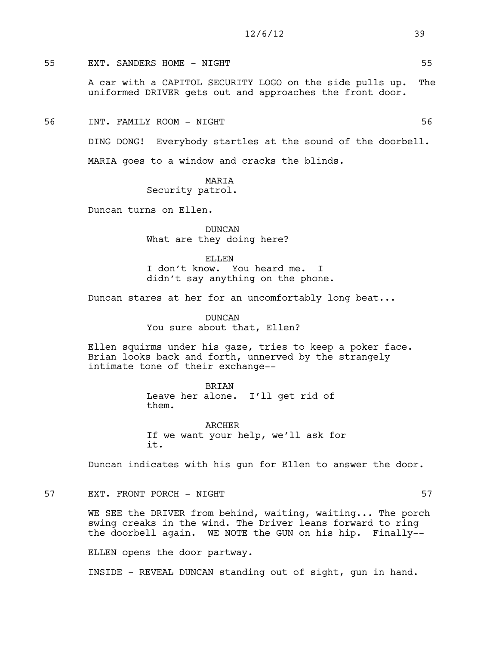## 55 EXT. SANDERS HOME - NIGHT

A car with a CAPITOL SECURITY LOGO on the side pulls up. The uniformed DRIVER gets out and approaches the front door.

56 INT. FAMILY ROOM - NIGHT 56

DING DONG! Everybody startles at the sound of the doorbell.

MARIA goes to a window and cracks the blinds.

## MARIA

Security patrol.

Duncan turns on Ellen.

DUNCAN What are they doing here?

ELLEN. I don't know. You heard me. I didn't say anything on the phone.

Duncan stares at her for an uncomfortably long beat...

DUNCAN You sure about that, Ellen?

Ellen squirms under his gaze, tries to keep a poker face. Brian looks back and forth, unnerved by the strangely intimate tone of their exchange--

> BRIAN Leave her alone. I'll get rid of them.

ARCHER If we want your help, we'll ask for it.

Duncan indicates with his gun for Ellen to answer the door.

57 EXT. FRONT PORCH - NIGHT 57

WE SEE the DRIVER from behind, waiting, waiting... The porch swing creaks in the wind. The Driver leans forward to ring the doorbell again. WE NOTE the GUN on his hip. Finally--

ELLEN opens the door partway.

INSIDE - REVEAL DUNCAN standing out of sight, gun in hand.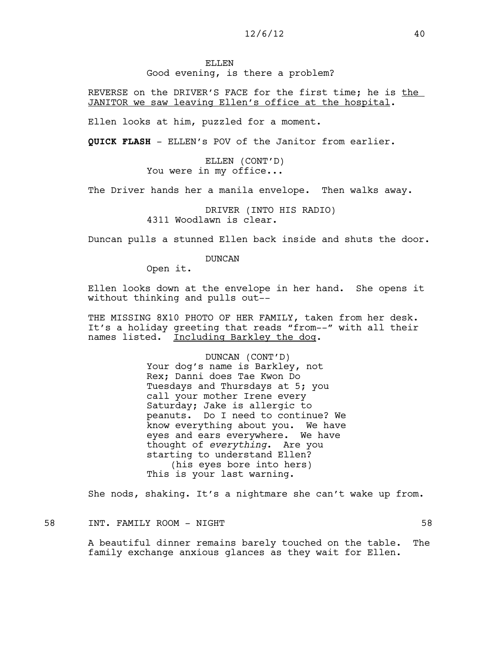## 12/6/12 40

## ELLEN Good evening, is there a problem?

REVERSE on the DRIVER'S FACE for the first time; he is the JANITOR we saw leaving Ellen's office at the hospital.

Ellen looks at him, puzzled for a moment.

**QUICK FLASH** - ELLEN's POV of the Janitor from earlier.

ELLEN (CONT'D) You were in my office...

The Driver hands her a manila envelope. Then walks away.

DRIVER (INTO HIS RADIO) 4311 Woodlawn is clear.

Duncan pulls a stunned Ellen back inside and shuts the door.

DUNCAN

Open it.

Ellen looks down at the envelope in her hand. She opens it without thinking and pulls out--

THE MISSING 8X10 PHOTO OF HER FAMILY, taken from her desk. It's a holiday greeting that reads "from--" with all their names listed. Including Barkley the dog.

> DUNCAN (CONT'D) Your dog's name is Barkley, not Rex; Danni does Tae Kwon Do Tuesdays and Thursdays at 5; you call your mother Irene every Saturday; Jake is allergic to peanuts. Do I need to continue? We know everything about you. We have eyes and ears everywhere. We have thought of *everything*. Are you starting to understand Ellen? (his eyes bore into hers) This is your last warning.

She nods, shaking. It's a nightmare she can't wake up from.

58 INT. FAMILY ROOM - NIGHT 58

A beautiful dinner remains barely touched on the table. The family exchange anxious glances as they wait for Ellen.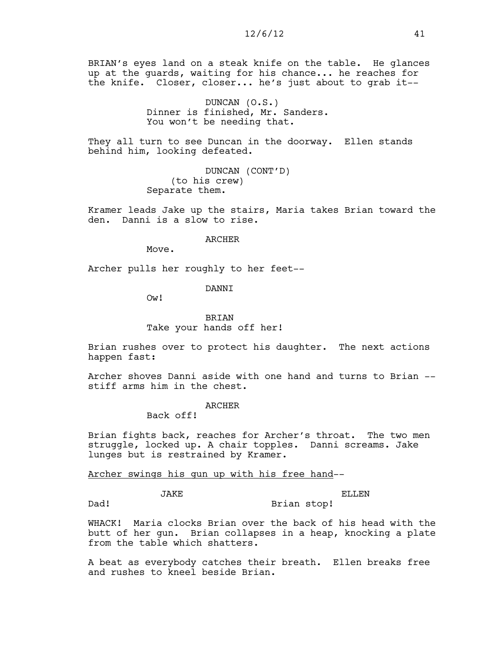BRIAN's eyes land on a steak knife on the table. He glances up at the guards, waiting for his chance... he reaches for the knife. Closer, closer... he's just about to grab it--

> DUNCAN (O.S.) Dinner is finished, Mr. Sanders. You won't be needing that.

They all turn to see Duncan in the doorway. Ellen stands behind him, looking defeated.

> DUNCAN (CONT'D) (to his crew) Separate them.

Kramer leads Jake up the stairs, Maria takes Brian toward the den. Danni is a slow to rise.

#### ARCHER

Move.

Archer pulls her roughly to her feet--

## DANNI

Ow!

BRIAN Take your hands off her!

Brian rushes over to protect his daughter. The next actions happen fast:

Archer shoves Danni aside with one hand and turns to Brian - stiff arms him in the chest.

### **ARCHER**

Back off!

Brian fights back, reaches for Archer's throat. The two men struggle, locked up. A chair topples. Danni screams. Jake lunges but is restrained by Kramer.

Archer swings his gun up with his free hand--

JAKE

ELLEN

Dad!

Brian stop!

WHACK! Maria clocks Brian over the back of his head with the butt of her gun. Brian collapses in a heap, knocking a plate from the table which shatters.

A beat as everybody catches their breath. Ellen breaks free and rushes to kneel beside Brian.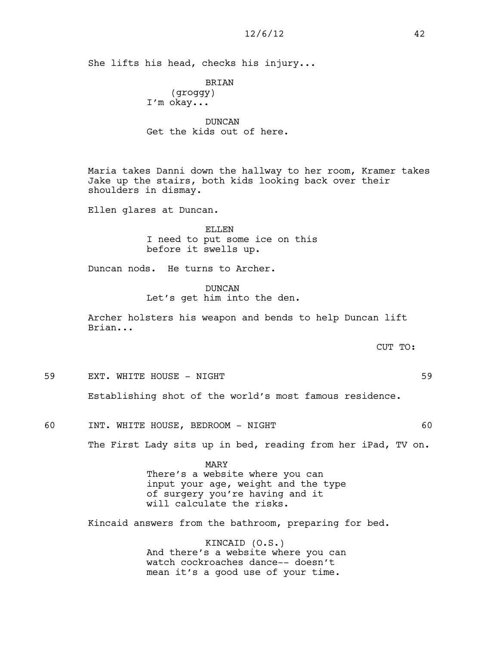She lifts his head, checks his injury...

BRIAN (groggy) I'm okay...

DUNCAN Get the kids out of here.

Maria takes Danni down the hallway to her room, Kramer takes Jake up the stairs, both kids looking back over their shoulders in dismay.

Ellen glares at Duncan.

ELLEN I need to put some ice on this before it swells up.

Duncan nods. He turns to Archer.

DUNCAN Let's get him into the den.

Archer holsters his weapon and bends to help Duncan lift Brian...

CUT TO:

59 EXT. WHITE HOUSE - NIGHT 59

Establishing shot of the world's most famous residence.

60 INT. WHITE HOUSE, BEDROOM - NIGHT 60

The First Lady sits up in bed, reading from her iPad, TV on.

MARY There's a website where you can input your age, weight and the type of surgery you're having and it will calculate the risks.

Kincaid answers from the bathroom, preparing for bed.

KINCAID (O.S.) And there's a website where you can watch cockroaches dance-- doesn't mean it's a good use of your time.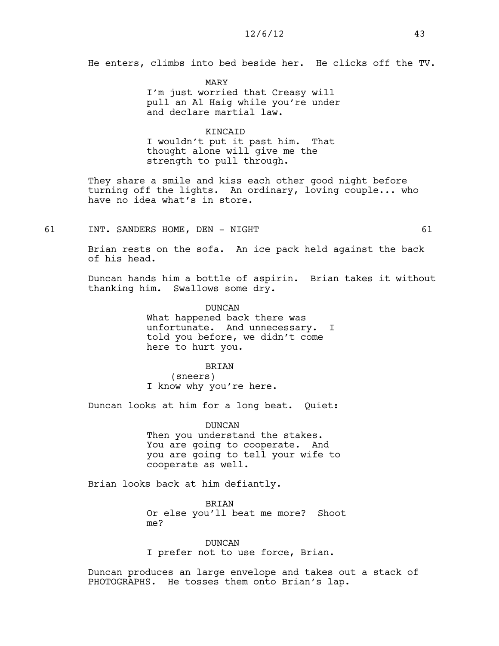## 12/6/12 43

He enters, climbs into bed beside her. He clicks off the TV.

MARY I'm just worried that Creasy will pull an Al Haig while you're under and declare martial law.

### KINCAID

I wouldn't put it past him. That thought alone will give me the strength to pull through.

They share a smile and kiss each other good night before turning off the lights. An ordinary, loving couple... who have no idea what's in store.

61 INT. SANDERS HOME, DEN - NIGHT 61

Brian rests on the sofa. An ice pack held against the back of his head.

Duncan hands him a bottle of aspirin. Brian takes it without thanking him. Swallows some dry.

> DUNCAN What happened back there was unfortunate. And unnecessary. I told you before, we didn't come here to hurt you.

#### BRIAN

(sneers) I know why you're here.

Duncan looks at him for a long beat. Quiet:

DUNCAN Then you understand the stakes. You are going to cooperate. And you are going to tell your wife to cooperate as well.

Brian looks back at him defiantly.

BRIAN Or else you'll beat me more? Shoot me?

DUNCAN I prefer not to use force, Brian.

Duncan produces an large envelope and takes out a stack of PHOTOGRAPHS. He tosses them onto Brian's lap.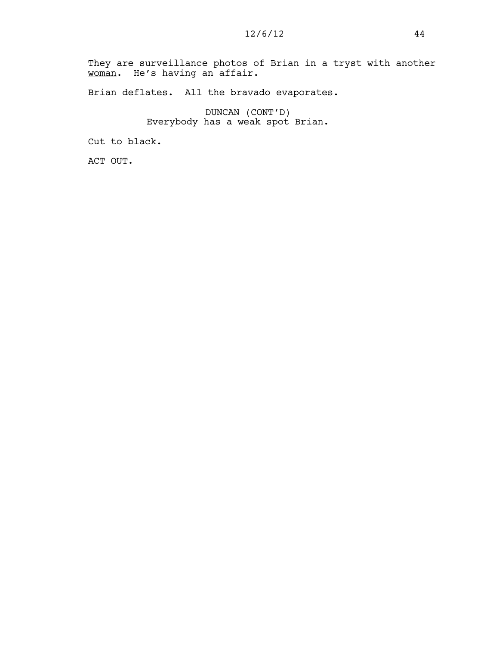They are surveillance photos of Brian in a tryst with another woman. He's having an affair.

Brian deflates. All the bravado evaporates.

DUNCAN (CONT'D) Everybody has a weak spot Brian.

Cut to black.

ACT OUT.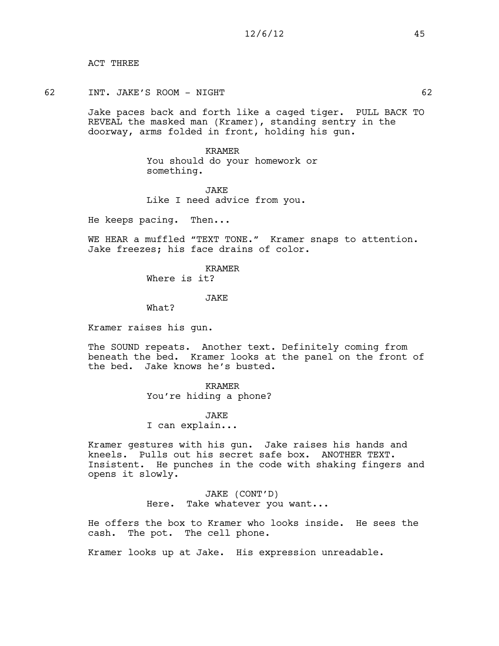ACT THREE

#### 62 INT. JAKE'S ROOM - NIGHT 62

Jake paces back and forth like a caged tiger. PULL BACK TO REVEAL the masked man (Kramer), standing sentry in the doorway, arms folded in front, holding his gun.

> KRAMER You should do your homework or something.

**JAKE** Like I need advice from you.

He keeps pacing. Then...

WE HEAR a muffled "TEXT TONE." Kramer snaps to attention. Jake freezes; his face drains of color.

KRAMER

Where is it?

**JAKE** 

What?

Kramer raises his gun.

The SOUND repeats. Another text. Definitely coming from beneath the bed. Kramer looks at the panel on the front of the bed. Jake knows he's busted.

> KRAMER You're hiding a phone?

JAKE I can explain...

Kramer gestures with his gun. Jake raises his hands and kneels. Pulls out his secret safe box. ANOTHER TEXT. Insistent. He punches in the code with shaking fingers and opens it slowly.

> JAKE (CONT'D) Here. Take whatever you want...

He offers the box to Kramer who looks inside. He sees the cash. The pot. The cell phone.

Kramer looks up at Jake. His expression unreadable.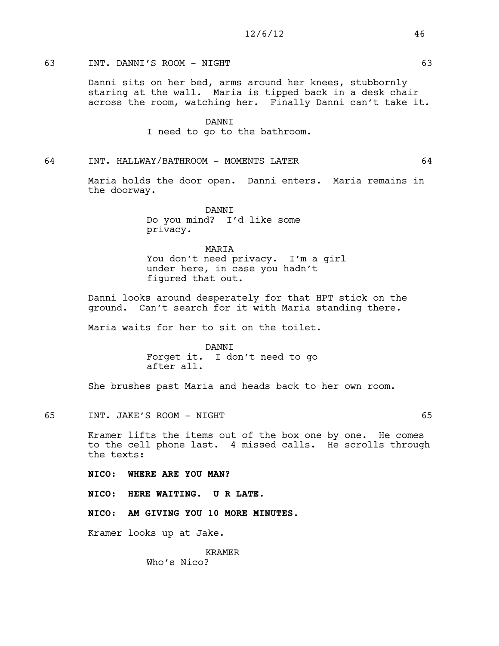## 63 INT. DANNI'S ROOM - NIGHT 63

Danni sits on her bed, arms around her knees, stubbornly staring at the wall. Maria is tipped back in a desk chair across the room, watching her. Finally Danni can't take it.

> DANNI I need to go to the bathroom.

#### 64 INT. HALLWAY/BATHROOM - MOMENTS LATER 64

Maria holds the door open. Danni enters. Maria remains in the doorway.

> **DANNT** Do you mind? I'd like some privacy.

MARIA You don't need privacy. I'm a girl under here, in case you hadn't figured that out.

Danni looks around desperately for that HPT stick on the ground. Can't search for it with Maria standing there.

Maria waits for her to sit on the toilet.

DANNI Forget it. I don't need to go after all.

She brushes past Maria and heads back to her own room.

65 INT. JAKE'S ROOM - NIGHT 65

Kramer lifts the items out of the box one by one. He comes to the cell phone last. 4 missed calls. He scrolls through the texts:

**NICO: WHERE ARE YOU MAN?**

**NICO: HERE WAITING. U R LATE.**

**NICO: AM GIVING YOU 10 MORE MINUTES.** 

Kramer looks up at Jake.

KRAMER Who's Nico?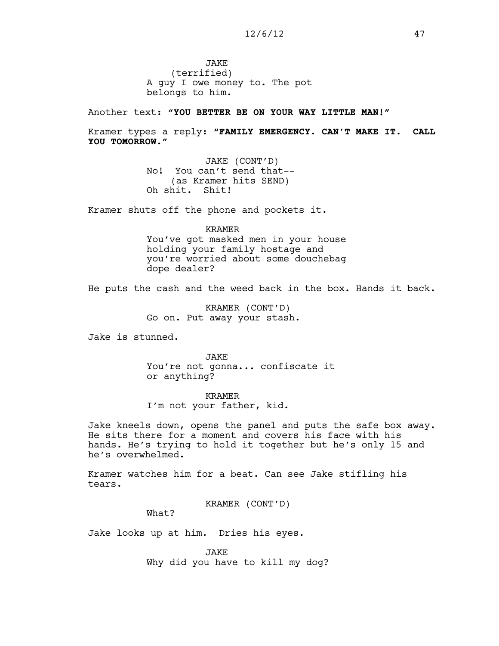**JAKE** (terrified) A guy I owe money to. The pot belongs to him.

Another text: **"YOU BETTER BE ON YOUR WAY LITTLE MAN!"**

Kramer types a reply: **"FAMILY EMERGENCY. CAN'T MAKE IT. CALL YOU TOMORROW."**

> JAKE (CONT'D) No! You can't send that-- (as Kramer hits SEND) Oh shit. Shit!

Kramer shuts off the phone and pockets it.

KRAMER You've got masked men in your house holding your family hostage and you're worried about some douchebag dope dealer?

He puts the cash and the weed back in the box. Hands it back.

KRAMER (CONT'D) Go on. Put away your stash.

Jake is stunned.

JAKE You're not gonna... confiscate it or anything?

KRAMER I'm not your father, kid.

Jake kneels down, opens the panel and puts the safe box away. He sits there for a moment and covers his face with his hands. He's trying to hold it together but he's only 15 and he's overwhelmed.

Kramer watches him for a beat. Can see Jake stifling his tears.

KRAMER (CONT'D)

What?

Jake looks up at him. Dries his eyes.

JAKE Why did you have to kill my dog?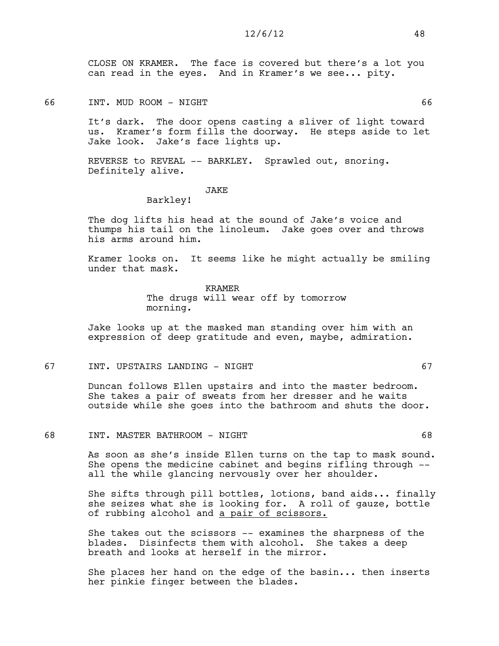CLOSE ON KRAMER. The face is covered but there's a lot you can read in the eyes. And in Kramer's we see... pity.

66 INT. MUD ROOM - NIGHT 66

It's dark. The door opens casting a sliver of light toward us. Kramer's form fills the doorway. He steps aside to let Jake look. Jake's face lights up.

REVERSE to REVEAL -- BARKLEY. Sprawled out, snoring. Definitely alive.

## JAKE

#### Barkley!

The dog lifts his head at the sound of Jake's voice and thumps his tail on the linoleum. Jake goes over and throws his arms around him.

Kramer looks on. It seems like he might actually be smiling under that mask.

> KRAMER The drugs will wear off by tomorrow morning.

Jake looks up at the masked man standing over him with an expression of deep gratitude and even, maybe, admiration.

67 INT. UPSTAIRS LANDING - NIGHT 67

Duncan follows Ellen upstairs and into the master bedroom. She takes a pair of sweats from her dresser and he waits outside while she goes into the bathroom and shuts the door.

#### 68 INT. MASTER BATHROOM - NIGHT 68

As soon as she's inside Ellen turns on the tap to mask sound. She opens the medicine cabinet and begins rifling through - all the while glancing nervously over her shoulder.

She sifts through pill bottles, lotions, band aids... finally she seizes what she is looking for. A roll of gauze, bottle of rubbing alcohol and a pair of scissors.

She takes out the scissors -- examines the sharpness of the blades. Disinfects them with alcohol. She takes a deep breath and looks at herself in the mirror.

She places her hand on the edge of the basin... then inserts her pinkie finger between the blades.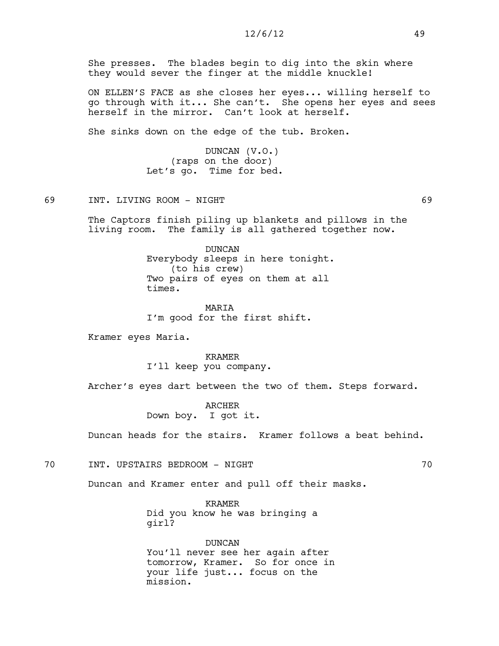She presses. The blades begin to dig into the skin where they would sever the finger at the middle knuckle!

ON ELLEN'S FACE as she closes her eyes... willing herself to go through with it... She can't. She opens her eyes and sees herself in the mirror. Can't look at herself.

She sinks down on the edge of the tub. Broken.

DUNCAN (V.O.) (raps on the door) Let's go. Time for bed.

69 INT. LIVING ROOM - NIGHT 69

The Captors finish piling up blankets and pillows in the living room. The family is all gathered together now.

> DUNCAN Everybody sleeps in here tonight. (to his crew) Two pairs of eyes on them at all times.

MARIA I'm good for the first shift.

Kramer eyes Maria.

KRAMER I'll keep you company.

Archer's eyes dart between the two of them. Steps forward.

ARCHER Down boy. I got it.

Duncan heads for the stairs. Kramer follows a beat behind.

70 INT. UPSTAIRS BEDROOM - NIGHT 70

Duncan and Kramer enter and pull off their masks.

KRAMER Did you know he was bringing a girl?

DUNCAN You'll never see her again after tomorrow, Kramer. So for once in your life just... focus on the mission.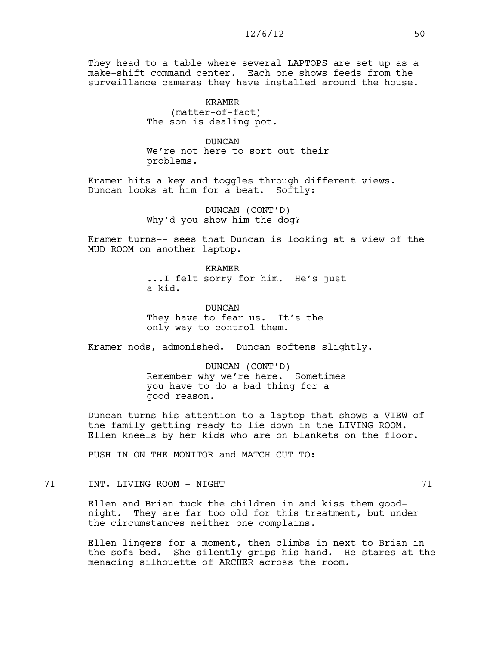They head to a table where several LAPTOPS are set up as a make-shift command center. Each one shows feeds from the surveillance cameras they have installed around the house.

> KRAMER (matter-of-fact) The son is dealing pot.

### DUNCAN

We're not here to sort out their problems.

Kramer hits a key and toggles through different views. Duncan looks at him for a beat. Softly:

> DUNCAN (CONT'D) Why'd you show him the dog?

Kramer turns-- sees that Duncan is looking at a view of the MUD ROOM on another laptop.

> KRAMER ...I felt sorry for him. He's just a kid.

DUNCAN They have to fear us. It's the only way to control them.

Kramer nods, admonished. Duncan softens slightly.

DUNCAN (CONT'D) Remember why we're here. Sometimes you have to do a bad thing for a good reason.

Duncan turns his attention to a laptop that shows a VIEW of the family getting ready to lie down in the LIVING ROOM. Ellen kneels by her kids who are on blankets on the floor.

PUSH IN ON THE MONITOR and MATCH CUT TO:

## 71 INT. LIVING ROOM - NIGHT 71 71

Ellen and Brian tuck the children in and kiss them goodnight. They are far too old for this treatment, but under the circumstances neither one complains.

Ellen lingers for a moment, then climbs in next to Brian in the sofa bed. She silently grips his hand. He stares at the menacing silhouette of ARCHER across the room.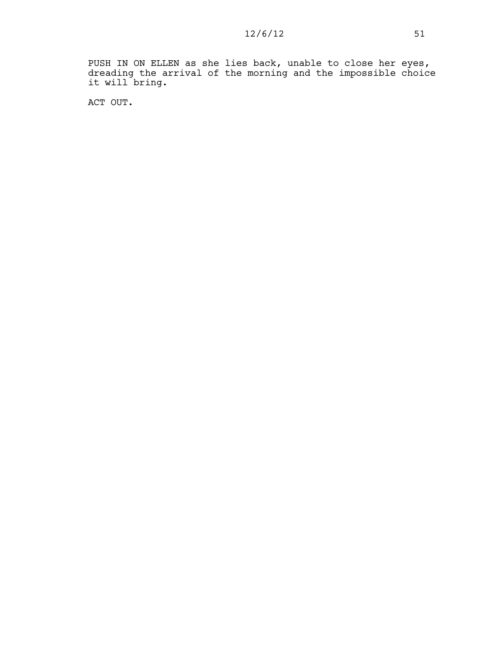PUSH IN ON ELLEN as she lies back, unable to close her eyes, dreading the arrival of the morning and the impossible choice it will bring.

ACT OUT.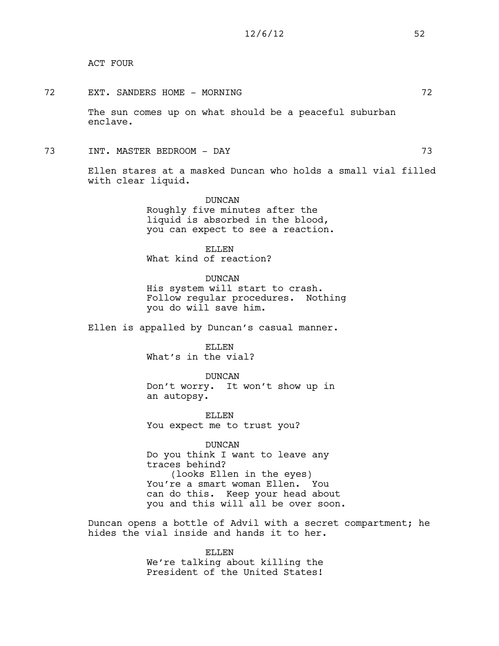ACT FOUR

- 72 EXT. SANDERS HOME MORNING 72 The sun comes up on what should be a peaceful suburban enclave.
- 73 INT. MASTER BEDROOM DAY 73

Ellen stares at a masked Duncan who holds a small vial filled with clear liquid.

> DUNCAN Roughly five minutes after the liquid is absorbed in the blood, you can expect to see a reaction.

ELLEN What kind of reaction?

DUNCAN His system will start to crash. Follow regular procedures. Nothing you do will save him.

Ellen is appalled by Duncan's casual manner.

ELLEN What's in the vial?

DUNCAN Don't worry. It won't show up in an autopsy.

ELLEN You expect me to trust you?

DUNCAN Do you think I want to leave any traces behind? (looks Ellen in the eyes) You're a smart woman Ellen. You can do this. Keep your head about you and this will all be over soon.

Duncan opens a bottle of Advil with a secret compartment; he hides the vial inside and hands it to her.

> ELLEN We're talking about killing the President of the United States!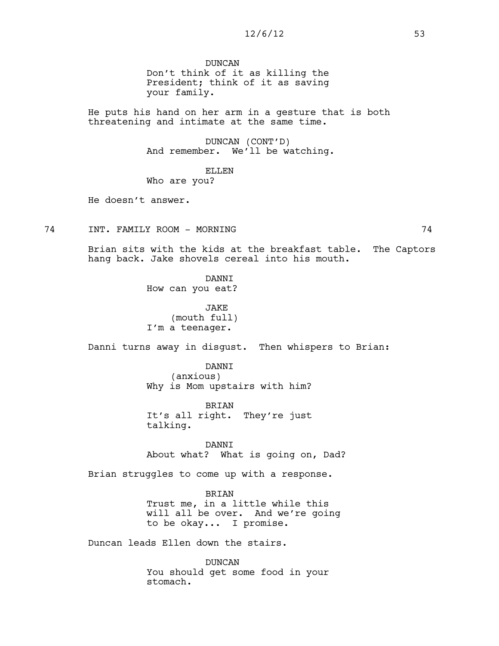## 12/6/12 53

DUNCAN Don't think of it as killing the President; think of it as saving your family.

He puts his hand on her arm in a gesture that is both threatening and intimate at the same time.

> DUNCAN (CONT'D) And remember. We'll be watching.

ELLEN Who are you?

He doesn't answer.

74 INT. FAMILY ROOM - MORNING 74

Brian sits with the kids at the breakfast table. The Captors hang back. Jake shovels cereal into his mouth.

> **DANNT** How can you eat?

> JAKE (mouth full) I'm a teenager.

Danni turns away in disgust. Then whispers to Brian:

DANNI (anxious) Why is Mom upstairs with him?

BRIAN It's all right. They're just talking.

DANNI About what? What is going on, Dad?

Brian struggles to come up with a response.

BRIAN Trust me, in a little while this will all be over. And we're going to be okay... I promise.

Duncan leads Ellen down the stairs.

DUNCAN You should get some food in your stomach.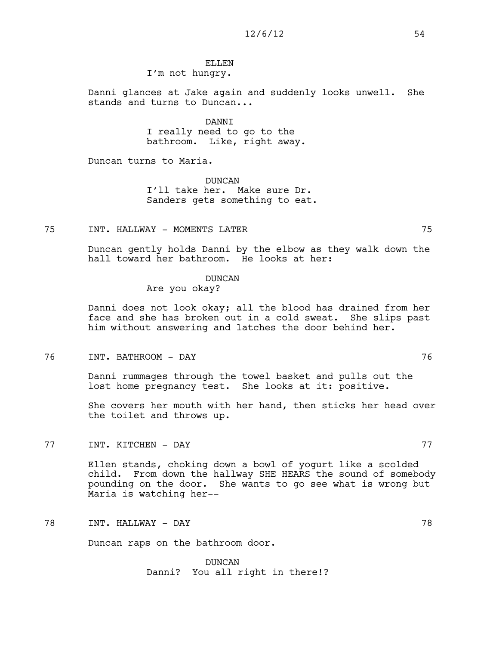# ELLEN

I'm not hungry.

Danni glances at Jake again and suddenly looks unwell. She stands and turns to Duncan...

> DANNI I really need to go to the bathroom. Like, right away.

Duncan turns to Maria.

DUNCAN I'll take her. Make sure Dr. Sanders gets something to eat.

75 INT. HALLWAY - MOMENTS LATER 75

Duncan gently holds Danni by the elbow as they walk down the hall toward her bathroom. He looks at her:

## DUNCAN

Are you okay?

Danni does not look okay; all the blood has drained from her face and she has broken out in a cold sweat. She slips past him without answering and latches the door behind her.

76 INT. BATHROOM - DAY 76

Danni rummages through the towel basket and pulls out the lost home pregnancy test. She looks at it: positive.

She covers her mouth with her hand, then sticks her head over the toilet and throws up.

77 INT. KITCHEN - DAY 77

Ellen stands, choking down a bowl of yogurt like a scolded child. From down the hallway SHE HEARS the sound of somebody pounding on the door. She wants to go see what is wrong but Maria is watching her--

78 INT. HALLWAY - DAY 78

Duncan raps on the bathroom door.

DUNCAN Danni? You all right in there!?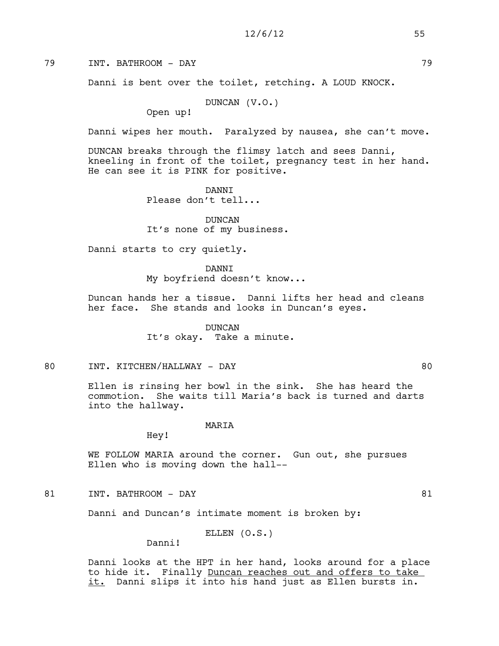79 INT. BATHROOM - DAY 79

Danni is bent over the toilet, retching. A LOUD KNOCK.

DUNCAN (V.O.)

Open up!

Danni wipes her mouth. Paralyzed by nausea, she can't move.

DUNCAN breaks through the flimsy latch and sees Danni, kneeling in front of the toilet, pregnancy test in her hand. He can see it is PINK for positive.

> **DANNT** Please don't tell...

DUNCAN It's none of my business.

Danni starts to cry quietly.

DANNI My boyfriend doesn't know...

Duncan hands her a tissue. Danni lifts her head and cleans her face. She stands and looks in Duncan's eyes.

> DUNCAN It's okay. Take a minute.

80 INT. KITCHEN/HALLWAY - DAY 80

Ellen is rinsing her bowl in the sink. She has heard the commotion. She waits till Maria's back is turned and darts into the hallway.

#### MARIA

Hey!

WE FOLLOW MARIA around the corner. Gun out, she pursues Ellen who is moving down the hall--

81 INT. BATHROOM – DAY 81

Danni and Duncan's intimate moment is broken by:

ELLEN (O.S.)

Danni!

Danni looks at the HPT in her hand, looks around for a place to hide it. Finally Duncan reaches out and offers to take it. Danni slips it into his hand just as Ellen bursts in.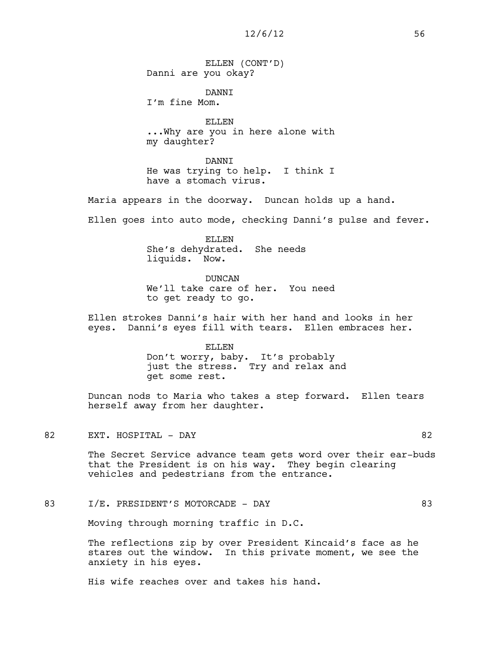ELLEN (CONT'D) Danni are you okay?

DANNI I'm fine Mom.

ELLEN ...Why are you in here alone with my daughter?

DANNI He was trying to help. I think I have a stomach virus.

Maria appears in the doorway. Duncan holds up a hand.

Ellen goes into auto mode, checking Danni's pulse and fever.

ELLEN She's dehydrated. She needs liquids. Now.

DUNCAN We'll take care of her. You need to get ready to go.

Ellen strokes Danni's hair with her hand and looks in her eyes. Danni's eyes fill with tears. Ellen embraces her.

> ELLEN Don't worry, baby. It's probably just the stress. Try and relax and get some rest.

Duncan nods to Maria who takes a step forward. Ellen tears herself away from her daughter.

82 EXT. HOSPITAL – DAY 82

The Secret Service advance team gets word over their ear-buds that the President is on his way. They begin clearing vehicles and pedestrians from the entrance.

## 83 I/E. PRESIDENT'S MOTORCADE - DAY 63

Moving through morning traffic in D.C.

The reflections zip by over President Kincaid's face as he stares out the window. In this private moment, we see the anxiety in his eyes.

His wife reaches over and takes his hand.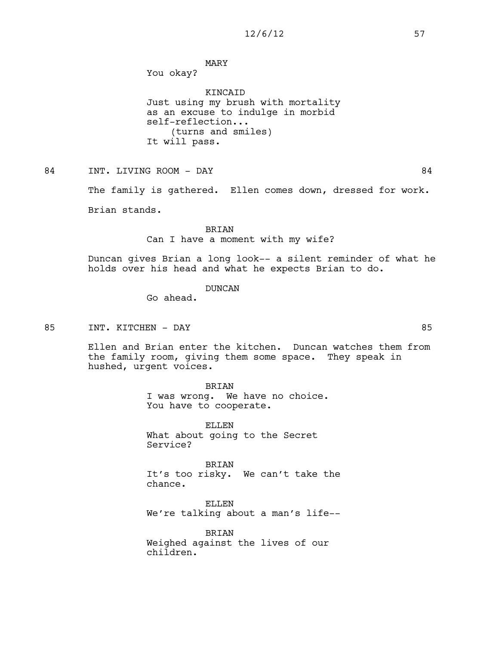MARY

You okay?

KINCAID Just using my brush with mortality as an excuse to indulge in morbid self-reflection... (turns and smiles) It will pass.

84 INT. LIVING ROOM - DAY 84

The family is gathered. Ellen comes down, dressed for work.

Brian stands.

## BRIAN Can I have a moment with my wife?

Duncan gives Brian a long look-- a silent reminder of what he holds over his head and what he expects Brian to do.

## DUNCAN

Go ahead.

85 INT. KITCHEN - DAY 85

Ellen and Brian enter the kitchen. Duncan watches them from the family room, giving them some space. They speak in hushed, urgent voices.

BRIAN

I was wrong. We have no choice. You have to cooperate.

ELLEN What about going to the Secret Service?

BRIAN It's too risky. We can't take the chance.

ELLEN We're talking about a man's life--

BRIAN Weighed against the lives of our children.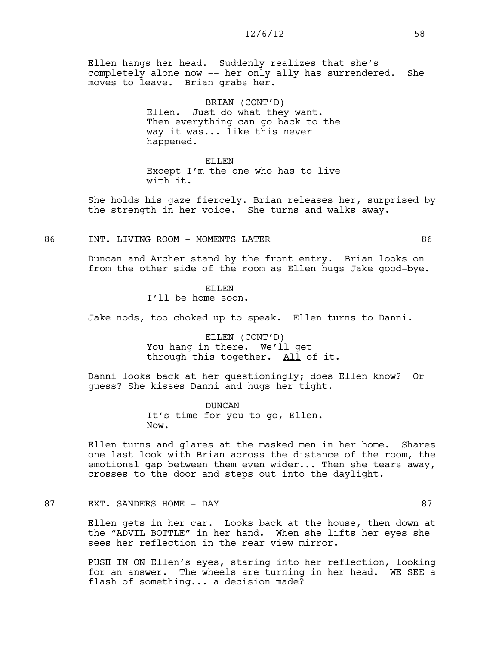Ellen hangs her head. Suddenly realizes that she's completely alone now -- her only ally has surrendered. She moves to leave. Brian grabs her.

> BRIAN (CONT'D) Ellen. Just do what they want. Then everything can go back to the way it was... like this never happened.

> ELLEN Except I'm the one who has to live with it.

She holds his gaze fiercely. Brian releases her, surprised by the strength in her voice. She turns and walks away.

#### 86 INT. LIVING ROOM – MOMENTS LATER SOLUTION AND ROOM (1996)

Duncan and Archer stand by the front entry. Brian looks on from the other side of the room as Ellen hugs Jake good-bye.

> ELLEN I'll be home soon.

Jake nods, too choked up to speak. Ellen turns to Danni.

ELLEN (CONT'D) You hang in there. We'll get through this together. All of it.

Danni looks back at her questioningly; does Ellen know? Or guess? She kisses Danni and hugs her tight.

> DUNCAN It's time for you to go, Ellen. Now.

Ellen turns and glares at the masked men in her home. Shares one last look with Brian across the distance of the room, the emotional gap between them even wider... Then she tears away, crosses to the door and steps out into the daylight.

## 87 EXT. SANDERS HOME - DAY 87

Ellen gets in her car. Looks back at the house, then down at the "ADVIL BOTTLE" in her hand. When she lifts her eyes she sees her reflection in the rear view mirror.

PUSH IN ON Ellen's eyes, staring into her reflection, looking for an answer. The wheels are turning in her head. WE SEE a flash of something... a decision made?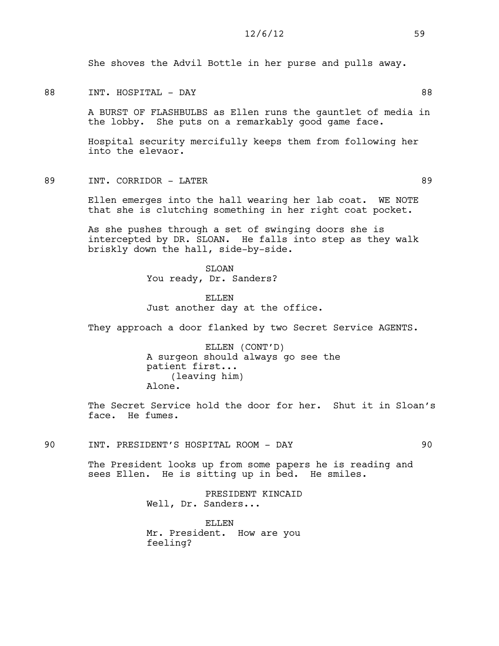She shoves the Advil Bottle in her purse and pulls away.

88 INT. HOSPITAL – DAY 88

A BURST OF FLASHBULBS as Ellen runs the gauntlet of media in the lobby. She puts on a remarkably good game face.

Hospital security mercifully keeps them from following her into the elevaor.

89 INT. CORRIDOR – LATER 89

Ellen emerges into the hall wearing her lab coat. WE NOTE that she is clutching something in her right coat pocket.

As she pushes through a set of swinging doors she is intercepted by DR. SLOAN. He falls into step as they walk briskly down the hall, side-by-side.

> SLOAN You ready, Dr. Sanders?

ELLEN. Just another day at the office.

They approach a door flanked by two Secret Service AGENTS.

ELLEN (CONT'D) A surgeon should always go see the patient first... (leaving him) Alone.

The Secret Service hold the door for her. Shut it in Sloan's face. He fumes.

90 INT. PRESIDENT'S HOSPITAL ROOM - DAY 90

The President looks up from some papers he is reading and sees Ellen. He is sitting up in bed. He smiles.

> PRESIDENT KINCAID Well, Dr. Sanders...

> ELLEN Mr. President. How are you feeling?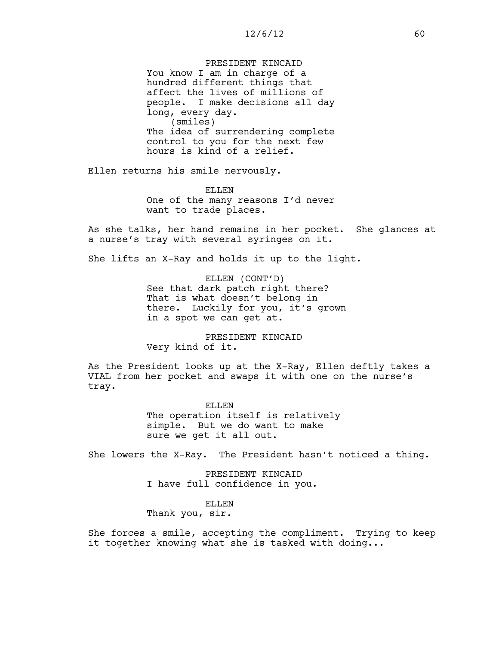## PRESIDENT KINCAID

You know I am in charge of a hundred different things that affect the lives of millions of people. I make decisions all day long, every day. (smiles) The idea of surrendering complete control to you for the next few hours is kind of a relief.

Ellen returns his smile nervously.

ELLEN. One of the many reasons I'd never want to trade places.

As she talks, her hand remains in her pocket. She glances at a nurse's tray with several syringes on it.

She lifts an X-Ray and holds it up to the light.

ELLEN (CONT'D) See that dark patch right there? That is what doesn't belong in there. Luckily for you, it's grown in a spot we can get at.

PRESIDENT KINCAID Very kind of it.

As the President looks up at the X-Ray, Ellen deftly takes a VIAL from her pocket and swaps it with one on the nurse's tray.

> ELLEN. The operation itself is relatively simple. But we do want to make sure we get it all out.

She lowers the X-Ray. The President hasn't noticed a thing.

PRESIDENT KINCAID I have full confidence in you.

ELLEN

Thank you, sir.

She forces a smile, accepting the compliment. Trying to keep it together knowing what she is tasked with doing...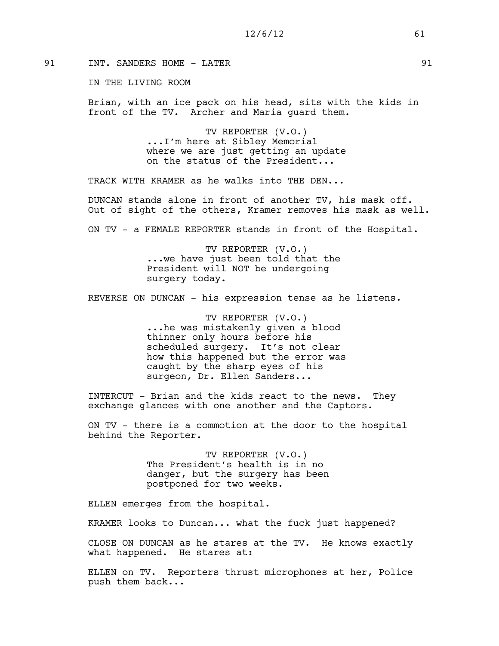## 91 INT. SANDERS HOME - LATER 1991

## IN THE LIVING ROOM

Brian, with an ice pack on his head, sits with the kids in front of the TV. Archer and Maria guard them.

> TV REPORTER (V.O.) ...I'm here at Sibley Memorial where we are just getting an update on the status of the President...

TRACK WITH KRAMER as he walks into THE DEN...

DUNCAN stands alone in front of another TV, his mask off. Out of sight of the others, Kramer removes his mask as well.

ON TV - a FEMALE REPORTER stands in front of the Hospital.

TV REPORTER (V.O.) ...we have just been told that the President will NOT be undergoing surgery today.

REVERSE ON DUNCAN - his expression tense as he listens.

TV REPORTER (V.O.) ...he was mistakenly given a blood thinner only hours before his scheduled surgery. It's not clear how this happened but the error was caught by the sharp eyes of his surgeon, Dr. Ellen Sanders...

INTERCUT - Brian and the kids react to the news. They exchange glances with one another and the Captors.

ON TV - there is a commotion at the door to the hospital behind the Reporter.

> TV REPORTER (V.O.) The President's health is in no danger, but the surgery has been postponed for two weeks.

ELLEN emerges from the hospital.

KRAMER looks to Duncan... what the fuck just happened?

CLOSE ON DUNCAN as he stares at the TV. He knows exactly what happened. He stares at:

ELLEN on TV. Reporters thrust microphones at her, Police push them back...